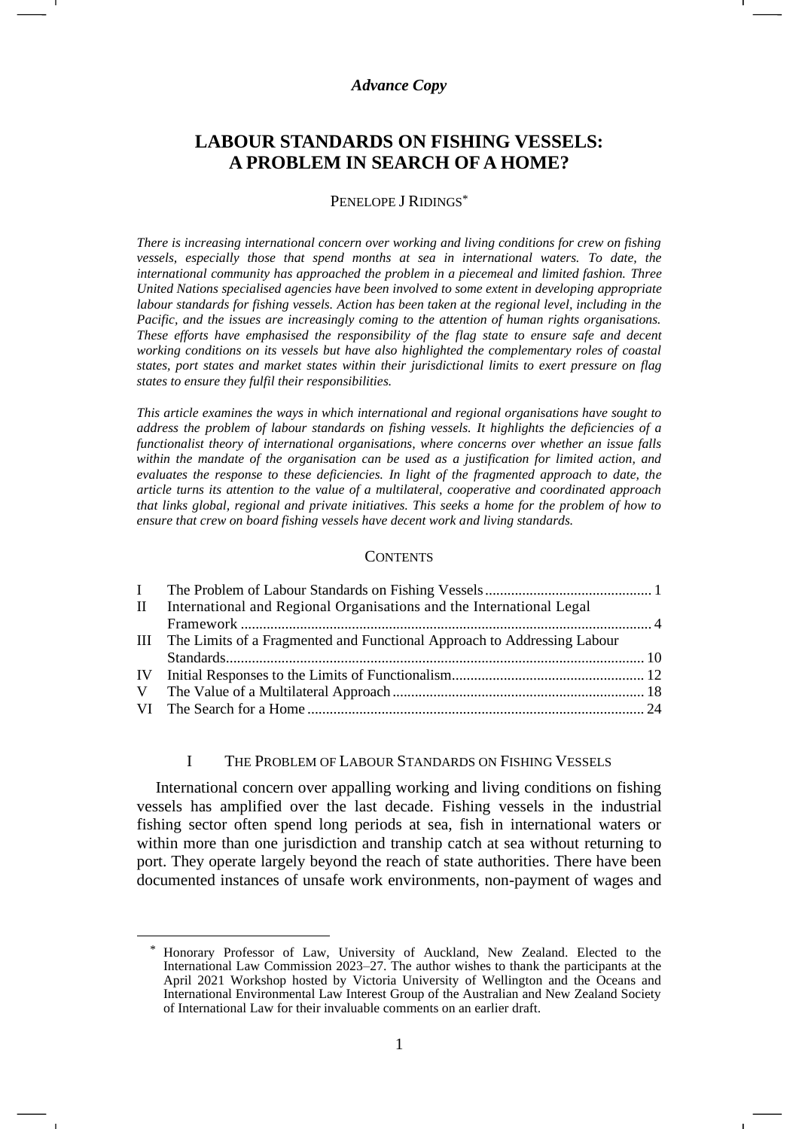# *Advance Copy*

# **LABOUR STANDARDS ON FISHING VESSELS: A PROBLEM IN SEARCH OF A HOME?**

#### PENELOPE J RIDINGS\*

*There is increasing international concern over working and living conditions for crew on fishing vessels, especially those that spend months at sea in international waters. To date, the international community has approached the problem in a piecemeal and limited fashion. Three United Nations specialised agencies have been involved to some extent in developing appropriate labour standards for fishing vessels. Action has been taken at the regional level, including in the Pacific, and the issues are increasingly coming to the attention of human rights organisations. These efforts have emphasised the responsibility of the flag state to ensure safe and decent working conditions on its vessels but have also highlighted the complementary roles of coastal states, port states and market states within their jurisdictional limits to exert pressure on flag states to ensure they fulfil their responsibilities.*

*This article examines the ways in which international and regional organisations have sought to address the problem of labour standards on fishing vessels. It highlights the deficiencies of a functionalist theory of international organisations, where concerns over whether an issue falls within the mandate of the organisation can be used as a justification for limited action, and evaluates the response to these deficiencies. In light of the fragmented approach to date, the article turns its attention to the value of a multilateral, cooperative and coordinated approach that links global, regional and private initiatives. This seeks a home for the problem of how to ensure that crew on board fishing vessels have decent work and living standards.*

#### **CONTENTS**

| II International and Regional Organisations and the International Legal     |  |
|-----------------------------------------------------------------------------|--|
|                                                                             |  |
| III The Limits of a Fragmented and Functional Approach to Addressing Labour |  |
|                                                                             |  |
|                                                                             |  |
|                                                                             |  |
|                                                                             |  |

#### I THE PROBLEM OF LABOUR STANDARDS ON FISHING VESSELS

International concern over appalling working and living conditions on fishing vessels has amplified over the last decade. Fishing vessels in the industrial fishing sector often spend long periods at sea, fish in international waters or within more than one jurisdiction and tranship catch at sea without returning to port. They operate largely beyond the reach of state authorities. There have been documented instances of unsafe work environments, non-payment of wages and

Honorary Professor of Law, University of Auckland, New Zealand. Elected to the International Law Commission 2023–27. The author wishes to thank the participants at the April 2021 Workshop hosted by Victoria University of Wellington and the Oceans and International Environmental Law Interest Group of the Australian and New Zealand Society of International Law for their invaluable comments on an earlier draft.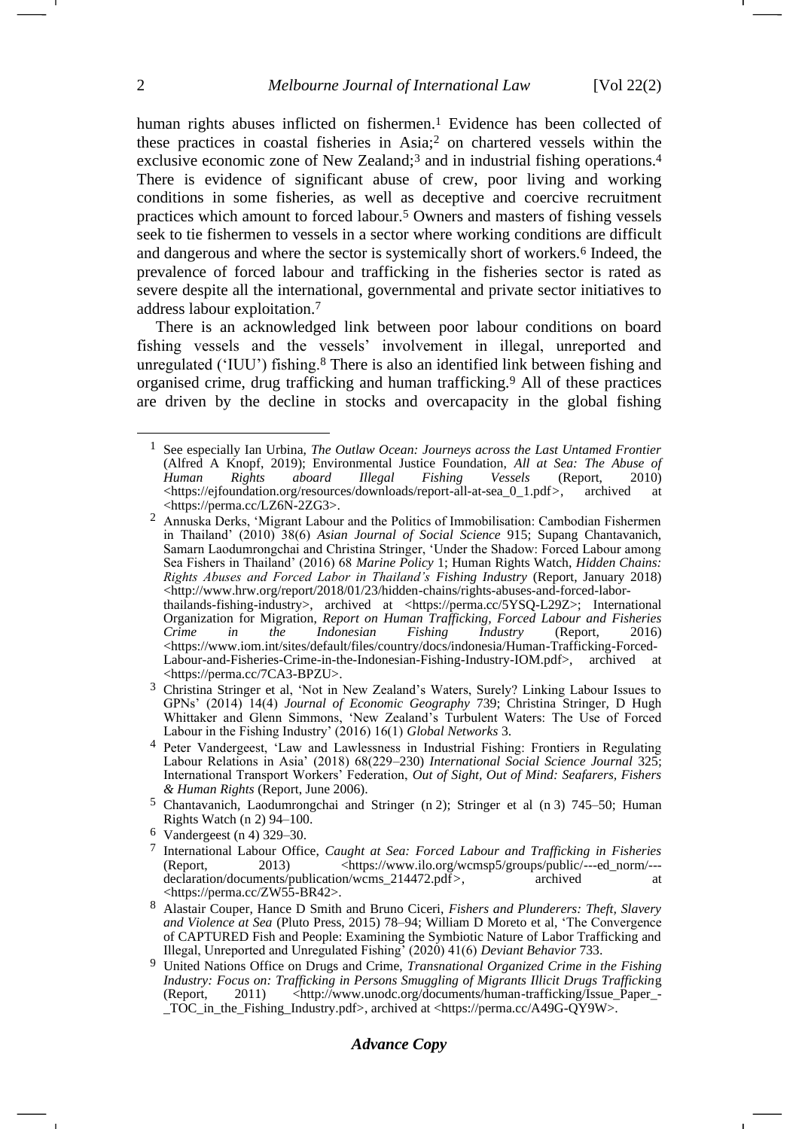<span id="page-1-2"></span><span id="page-1-1"></span><span id="page-1-0"></span>human rights abuses inflicted on fishermen.<sup>1</sup> Evidence has been collected of these practices in coastal fisheries in Asia;<sup>2</sup> on chartered vessels within the exclusive economic zone of New Zealand;<sup>3</sup> and in industrial fishing operations.<sup>4</sup> There is evidence of significant abuse of crew, poor living and working conditions in some fisheries, as well as deceptive and coercive recruitment practices which amount to forced labour.<sup>5</sup> Owners and masters of fishing vessels seek to tie fishermen to vessels in a sector where working conditions are difficult and dangerous and where the sector is systemically short of workers.<sup>6</sup> Indeed, the prevalence of forced labour and trafficking in the fisheries sector is rated as severe despite all the international, governmental and private sector initiatives to address labour exploitation.<sup>7</sup>

<span id="page-1-3"></span>There is an acknowledged link between poor labour conditions on board fishing vessels and the vessels' involvement in illegal, unreported and unregulated ('IUU') fishing.<sup>8</sup> There is also an identified link between fishing and organised crime, drug trafficking and human trafficking.<sup>9</sup> All of these practices are driven by the decline in stocks and overcapacity in the global fishing

- 7 International Labour Office, *Caught at Sea: Forced Labour and Trafficking in Fisheries* (Report, 2013) <https://www.ilo.org/wcmsp5/groups/public/---ed\_norm/-- declaration/documents/publication/wcms\_214472.pdf>, archived at <https://perma.cc/ZW55-BR42>.
- 8 Alastair Couper, Hance D Smith and Bruno Ciceri, *Fishers and Plunderers: Theft, Slavery and Violence at Sea* (Pluto Press, 2015) 78–94; William D Moreto et al, 'The Convergence of CAPTURED Fish and People: Examining the Symbiotic Nature of Labor Trafficking and Illegal, Unreported and Unregulated Fishing' (2020) 41(6) *Deviant Behavior* 733.

# *Advance Copy*

<sup>1</sup> See especially Ian Urbina, *The Outlaw Ocean: Journeys across the Last Untamed Frontier* (Alfred A Knopf, 2019); Environmental Justice Foundation, *All at Sea: The Abuse of Human Rights aboard Illegal Fishing Vessels* (Report, 2010)  $\langle$ https://ejfoundation.org/resources/downloads/report-all-at-sea\_0\_1.pdf>, archived at <https://perma.cc/LZ6N-2ZG3>.

<sup>2</sup> Annuska Derks, 'Migrant Labour and the Politics of Immobilisation: Cambodian Fishermen in Thailand' (2010) 38(6) *Asian Journal of Social Science* 915; Supang Chantavanich, Samarn Laodumrongchai and Christina Stringer, 'Under the Shadow: Forced Labour among Sea Fishers in Thailand' (2016) 68 *Marine Policy* 1; Human Rights Watch, *Hidden Chains: Rights Abuses and Forced Labor in Thailand's Fishing Industry* (Report, January 2018) <http://www.hrw.org/report/2018/01/23/hidden-chains/rights-abuses-and-forced-laborthailands-fishing-industry>, archived at <https://perma.cc/5YSQ-L29Z>; International Organization for Migration, *Report on Human Trafficking, Forced Labour and Fisheries Crime in the Indonesian Fishing Industry* (Report, 2016)  $\langle$ https://www.iom.int/sites/default/files/country/docs/indonesia/Human-Trafficking-Forced-Labour-and-Fisheries-Crime-in-the-Indonesian-Fishing-Industry-IOM.pdf>, archived at <https://perma.cc/7CA3-BPZU>.

<sup>3</sup> Christina Stringer et al, 'Not in New Zealand's Waters, Surely? Linking Labour Issues to GPNs' (2014) 14(4) *Journal of Economic Geography* 739; Christina Stringer, D Hugh Whittaker and Glenn Simmons, 'New Zealand's Turbulent Waters: The Use of Forced Labour in the Fishing Industry' (2016) 16(1) *Global Networks* 3.

<sup>4</sup> Peter Vandergeest, 'Law and Lawlessness in Industrial Fishing: Frontiers in Regulating Labour Relations in Asia' (2018) 68(229–230) *International Social Science Journal* 325; International Transport Workers' Federation, *Out of Sight, Out of Mind: Seafarers, Fishers & Human Rights* (Report, June 2006).

<sup>5</sup> Chantavanich, Laodumrongchai and Stringer (n [2\)](#page-1-0); Stringer et al (n [3\)](#page-1-1) 745–50; Human Rights Watch (n [2\)](#page-1-0) 94–100.

<sup>6</sup> Vandergeest (n [4\)](#page-1-2) 329–30.

<sup>9</sup> United Nations Office on Drugs and Crime, *Transnational Organized Crime in the Fishing Industry: Focus on: Trafficking in Persons Smuggling of Migrants Illicit Drugs Trafficking*<br>(Report, 2011) <http://www.unodc.org/documents/human-trafficking/Issue Paper -<http://www.unodc.org/documents/human-trafficking/Issue\_Paper\_-TOC in the Fishing Industry.pdf>, archived at <https://perma.cc/A49G-QY9W>.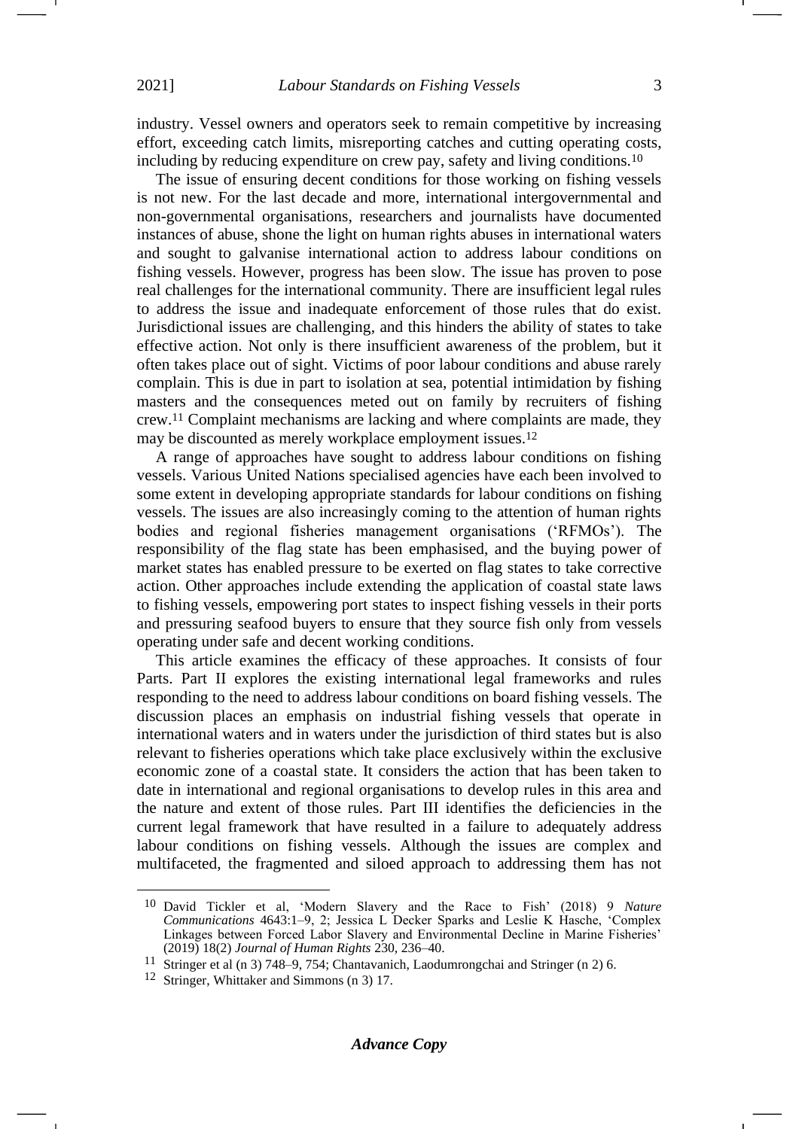industry. Vessel owners and operators seek to remain competitive by increasing effort, exceeding catch limits, misreporting catches and cutting operating costs, including by reducing expenditure on crew pay, safety and living conditions.<sup>10</sup>

The issue of ensuring decent conditions for those working on fishing vessels is not new. For the last decade and more, international intergovernmental and non-governmental organisations, researchers and journalists have documented instances of abuse, shone the light on human rights abuses in international waters and sought to galvanise international action to address labour conditions on fishing vessels. However, progress has been slow. The issue has proven to pose real challenges for the international community. There are insufficient legal rules to address the issue and inadequate enforcement of those rules that do exist. Jurisdictional issues are challenging, and this hinders the ability of states to take effective action. Not only is there insufficient awareness of the problem, but it often takes place out of sight. Victims of poor labour conditions and abuse rarely complain. This is due in part to isolation at sea, potential intimidation by fishing masters and the consequences meted out on family by recruiters of fishing crew.<sup>11</sup> Complaint mechanisms are lacking and where complaints are made, they may be discounted as merely workplace employment issues.<sup>12</sup>

A range of approaches have sought to address labour conditions on fishing vessels. Various United Nations specialised agencies have each been involved to some extent in developing appropriate standards for labour conditions on fishing vessels. The issues are also increasingly coming to the attention of human rights bodies and regional fisheries management organisations ('RFMOs'). The responsibility of the flag state has been emphasised, and the buying power of market states has enabled pressure to be exerted on flag states to take corrective action. Other approaches include extending the application of coastal state laws to fishing vessels, empowering port states to inspect fishing vessels in their ports and pressuring seafood buyers to ensure that they source fish only from vessels operating under safe and decent working conditions.

This article examines the efficacy of these approaches. It consists of four Parts. Part II explores the existing international legal frameworks and rules responding to the need to address labour conditions on board fishing vessels. The discussion places an emphasis on industrial fishing vessels that operate in international waters and in waters under the jurisdiction of third states but is also relevant to fisheries operations which take place exclusively within the exclusive economic zone of a coastal state. It considers the action that has been taken to date in international and regional organisations to develop rules in this area and the nature and extent of those rules. Part III identifies the deficiencies in the current legal framework that have resulted in a failure to adequately address labour conditions on fishing vessels. Although the issues are complex and multifaceted, the fragmented and siloed approach to addressing them has not

<sup>10</sup> David Tickler et al, 'Modern Slavery and the Race to Fish' (2018) 9 *Nature Communications* 4643:1–9, 2; Jessica L Decker Sparks and Leslie K Hasche, 'Complex Linkages between Forced Labor Slavery and Environmental Decline in Marine Fisheries' (2019) 18(2) *Journal of Human Rights* 230, 236–40.

<sup>11</sup> Stringer et al (n [3\)](#page-1-1) 748–9, 754; Chantavanich, Laodumrongchai and Stringer (n [2\)](#page-1-0) 6.

<sup>12</sup> Stringer, Whittaker and Simmons ([n 3\)](#page-1-1) 17.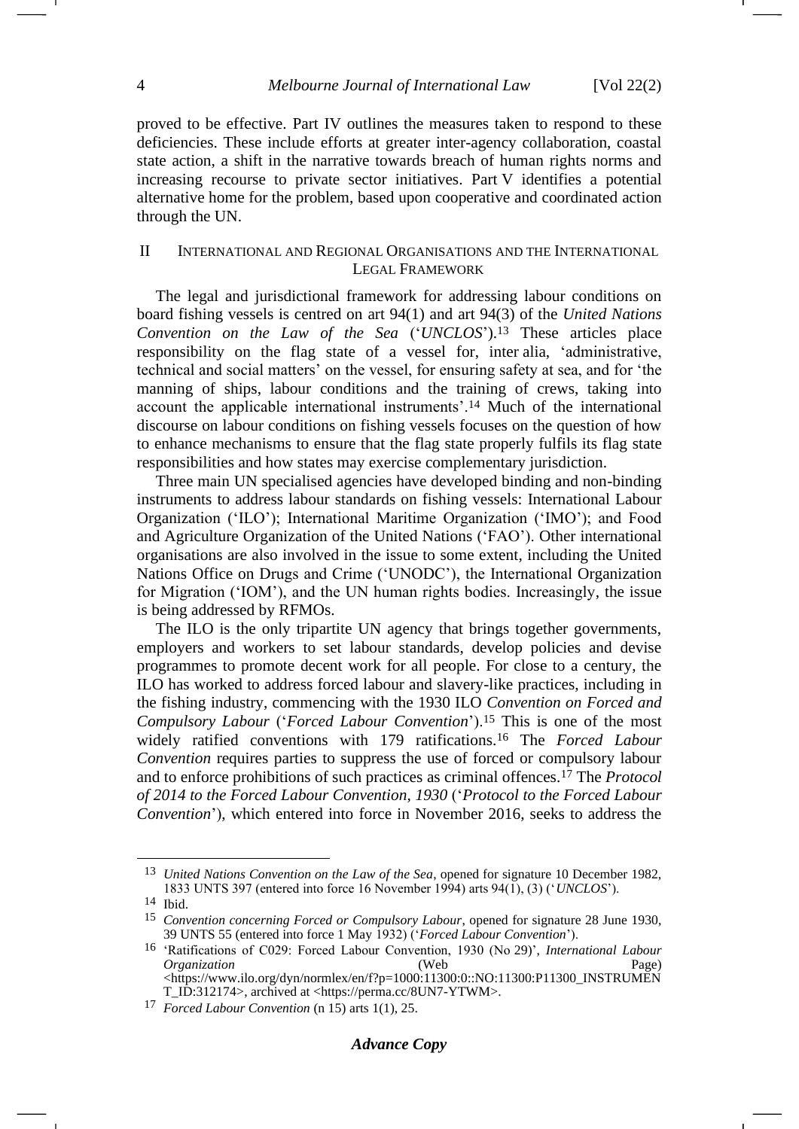proved to be effective. Part IV outlines the measures taken to respond to these deficiencies. These include efforts at greater inter-agency collaboration, coastal state action, a shift in the narrative towards breach of human rights norms and increasing recourse to private sector initiatives. Part V identifies a potential alternative home for the problem, based upon cooperative and coordinated action through the UN.

# II INTERNATIONAL AND REGIONAL ORGANISATIONS AND THE INTERNATIONAL LEGAL FRAMEWORK

<span id="page-3-1"></span>The legal and jurisdictional framework for addressing labour conditions on board fishing vessels is centred on art 94(1) and art 94(3) of the *United Nations Convention on the Law of the Sea* ('*UNCLOS*').<sup>13</sup> These articles place responsibility on the flag state of a vessel for, inter alia, 'administrative, technical and social matters' on the vessel, for ensuring safety at sea, and for 'the manning of ships, labour conditions and the training of crews, taking into account the applicable international instruments'.<sup>14</sup> Much of the international discourse on labour conditions on fishing vessels focuses on the question of how to enhance mechanisms to ensure that the flag state properly fulfils its flag state responsibilities and how states may exercise complementary jurisdiction.

Three main UN specialised agencies have developed binding and non-binding instruments to address labour standards on fishing vessels: International Labour Organization ('ILO'); International Maritime Organization ('IMO'); and Food and Agriculture Organization of the United Nations ('FAO'). Other international organisations are also involved in the issue to some extent, including the United Nations Office on Drugs and Crime ('UNODC'), the International Organization for Migration ('IOM'), and the UN human rights bodies. Increasingly, the issue is being addressed by RFMOs.

<span id="page-3-0"></span>The ILO is the only tripartite UN agency that brings together governments, employers and workers to set labour standards, develop policies and devise programmes to promote decent work for all people. For close to a century, the ILO has worked to address forced labour and slavery-like practices, including in the fishing industry, commencing with the 1930 ILO *Convention on Forced and Compulsory Labour* ('*Forced Labour Convention*').<sup>15</sup> This is one of the most widely ratified conventions with 179 ratifications.<sup>16</sup> The *Forced Labour Convention* requires parties to suppress the use of forced or compulsory labour and to enforce prohibitions of such practices as criminal offences.<sup>17</sup> The *Protocol of 2014 to the Forced Labour Convention, 1930* ('*Protocol to the Forced Labour Convention*'), which entered into force in November 2016, seeks to address the

<sup>13</sup> *United Nations Convention on the Law of the Sea*, opened for signature 10 December 1982, 1833 UNTS 397 (entered into force 16 November 1994) arts 94(1), (3) ('*UNCLOS*').

<sup>14</sup> Ibid.

<sup>15</sup> *Convention concerning Forced or Compulsory Labour*, opened for signature 28 June 1930, 39 UNTS 55 (entered into force 1 May 1932) ('*Forced Labour Convention*').

<sup>16</sup> 'Ratifications of C029: Forced Labour Convention, 1930 (No 29)', *International Labour Organization* (Web Page) <https://www.ilo.org/dyn/normlex/en/f?p=1000:11300:0::NO:11300:P11300\_INSTRUMEN T\_ID:312174>, archived at <https://perma.cc/8UN7-YTWM>.

<sup>17</sup> *Forced Labour Convention* ([n 15\)](#page-3-0) arts 1(1), 25.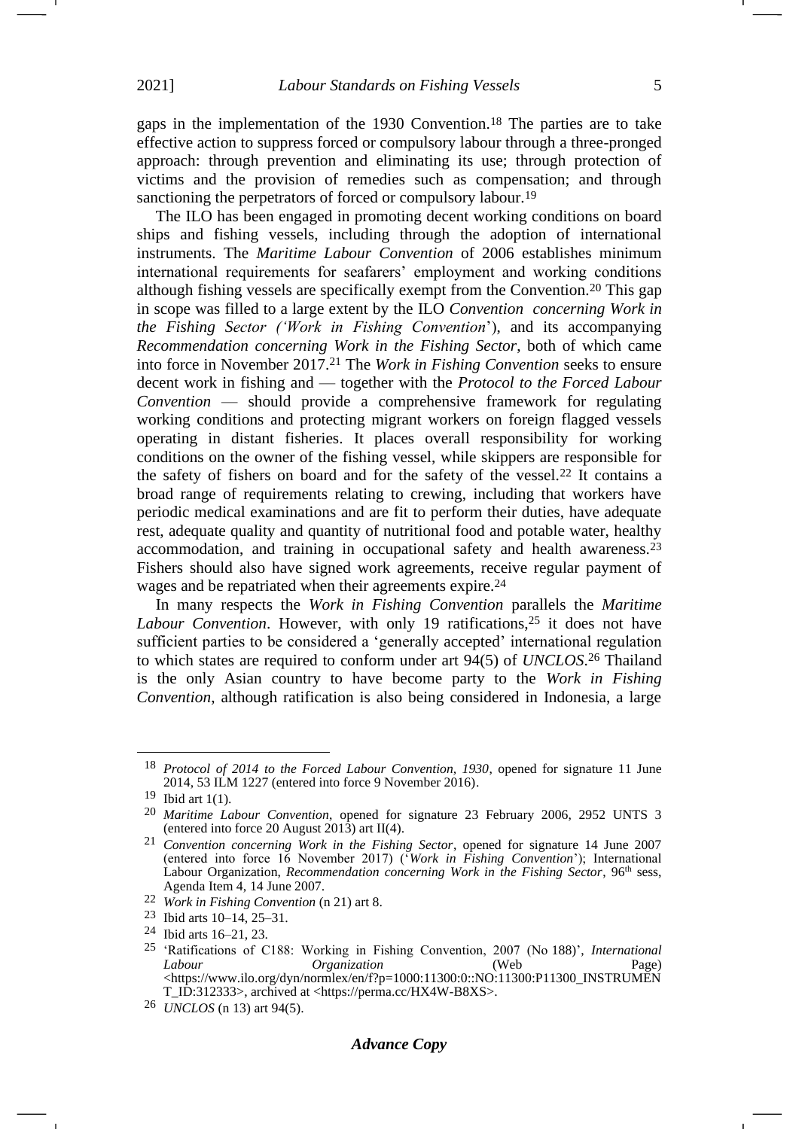gaps in the implementation of the 1930 Convention.<sup>18</sup> The parties are to take effective action to suppress forced or compulsory labour through a three-pronged approach: through prevention and eliminating its use; through protection of victims and the provision of remedies such as compensation; and through sanctioning the perpetrators of forced or compulsory labour.<sup>19</sup>

<span id="page-4-0"></span>The ILO has been engaged in promoting decent working conditions on board ships and fishing vessels, including through the adoption of international instruments. The *Maritime Labour Convention* of 2006 establishes minimum international requirements for seafarers' employment and working conditions although fishing vessels are specifically exempt from the Convention.<sup>20</sup> This gap in scope was filled to a large extent by the ILO *Convention concerning Work in the Fishing Sector ('Work in Fishing Convention*'), and its accompanying *Recommendation concerning Work in the Fishing Sector*, both of which came into force in November 2017.<sup>21</sup> The *Work in Fishing Convention* seeks to ensure decent work in fishing and — together with the *Protocol to the Forced Labour Convention* — should provide a comprehensive framework for regulating working conditions and protecting migrant workers on foreign flagged vessels operating in distant fisheries. It places overall responsibility for working conditions on the owner of the fishing vessel, while skippers are responsible for the safety of fishers on board and for the safety of the vessel.<sup>22</sup> It contains a broad range of requirements relating to crewing, including that workers have periodic medical examinations and are fit to perform their duties, have adequate rest, adequate quality and quantity of nutritional food and potable water, healthy accommodation, and training in occupational safety and health awareness.<sup>23</sup> Fishers should also have signed work agreements, receive regular payment of wages and be repatriated when their agreements expire.<sup>24</sup>

In many respects the *Work in Fishing Convention* parallels the *Maritime*  Labour Convention. However, with only 19 ratifications,<sup>25</sup> it does not have sufficient parties to be considered a 'generally accepted' international regulation to which states are required to conform under art 94(5) of *UNCLOS*. <sup>26</sup> Thailand is the only Asian country to have become party to the *Work in Fishing Convention*, although ratification is also being considered in Indonesia, a large

<sup>18</sup> *Protocol of 2014 to the Forced Labour Convention, 1930*, opened for signature 11 June 2014, 53 ILM 1227 (entered into force 9 November 2016).

 $19$  Ibid art 1(1).

<sup>20</sup> *Maritime Labour Convention*, opened for signature 23 February 2006, 2952 UNTS 3 (entered into force 20 August 2013) art II(4).

<sup>21</sup> *Convention concerning Work in the Fishing Sector*, opened for signature 14 June 2007 (entered into force 16 November 2017) ('*Work in Fishing Convention*'); International Labour Organization, *Recommendation concerning Work in the Fishing Sector*, 96<sup>th</sup> sess, Agenda Item 4, 14 June 2007.

<sup>22</sup> *Work in Fishing Convention* (n [21\)](#page-4-0) art 8.

<sup>23</sup> Ibid arts 10–14, 25–31.

<sup>24</sup> Ibid arts 16–21, 23.

<sup>25</sup> 'Ratifications of C188: Working in Fishing Convention, 2007 (No 188)', *International Labour Organization* (Web Page) <https://www.ilo.org/dyn/normlex/en/f?p=1000:11300:0::NO:11300:P11300\_INSTRUMEN T\_ID:312333>, archived at <https://perma.cc/HX4W-B8XS>.

<sup>26</sup> *UNCLOS* (n [13\)](#page-3-1) art 94(5).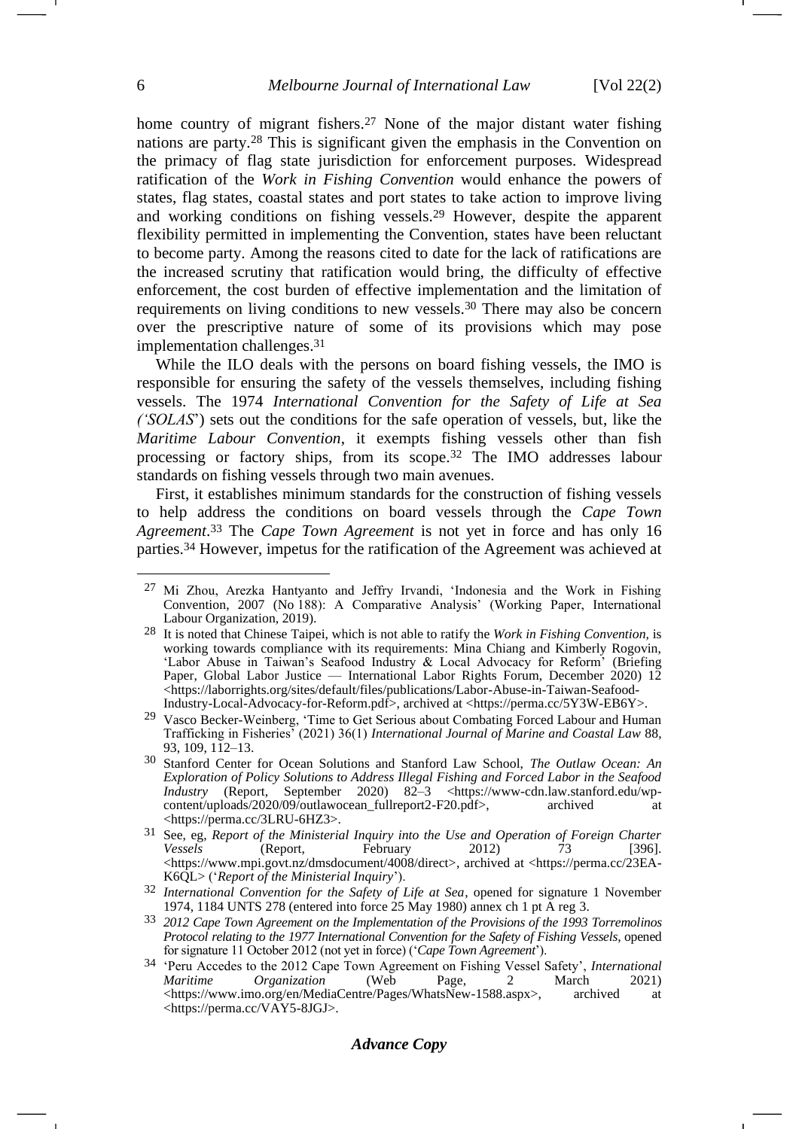<span id="page-5-2"></span>home country of migrant fishers.<sup>27</sup> None of the major distant water fishing nations are party.<sup>28</sup> This is significant given the emphasis in the Convention on the primacy of flag state jurisdiction for enforcement purposes. Widespread ratification of the *Work in Fishing Convention* would enhance the powers of states, flag states, coastal states and port states to take action to improve living and working conditions on fishing vessels.<sup>29</sup> However, despite the apparent flexibility permitted in implementing the Convention, states have been reluctant to become party. Among the reasons cited to date for the lack of ratifications are the increased scrutiny that ratification would bring, the difficulty of effective enforcement, the cost burden of effective implementation and the limitation of requirements on living conditions to new vessels.<sup>30</sup> There may also be concern over the prescriptive nature of some of its provisions which may pose implementation challenges.<sup>31</sup>

<span id="page-5-1"></span><span id="page-5-0"></span>While the ILO deals with the persons on board fishing vessels, the IMO is responsible for ensuring the safety of the vessels themselves, including fishing vessels. The 1974 *International Convention for the Safety of Life at Sea ('SOLAS*') sets out the conditions for the safe operation of vessels, but, like the *Maritime Labour Convention*, it exempts fishing vessels other than fish processing or factory ships, from its scope.<sup>32</sup> The IMO addresses labour standards on fishing vessels through two main avenues.

First, it establishes minimum standards for the construction of fishing vessels to help address the conditions on board vessels through the *Cape Town Agreement*. <sup>33</sup> The *Cape Town Agreement* is not yet in force and has only 16 parties.<sup>34</sup> However, impetus for the ratification of the Agreement was achieved at

<sup>27</sup> Mi Zhou, Arezka Hantyanto and Jeffry Irvandi, 'Indonesia and the Work in Fishing Convention, 2007 (No 188): A Comparative Analysis' (Working Paper, International Labour Organization, 2019).

<sup>28</sup> It is noted that Chinese Taipei, which is not able to ratify the *Work in Fishing Convention,* is working towards compliance with its requirements: Mina Chiang and Kimberly Rogovin, 'Labor Abuse in Taiwan's Seafood Industry & Local Advocacy for Reform' (Briefing Paper, Global Labor Justice — International Labor Rights Forum, December 2020) 12 <https://laborrights.org/sites/default/files/publications/Labor-Abuse-in-Taiwan-Seafood-Industry-Local-Advocacy-for-Reform.pdf>, archived at <https://perma.cc/5Y3W-EB6Y>.

<sup>29</sup> Vasco Becker-Weinberg, 'Time to Get Serious about Combating Forced Labour and Human Trafficking in Fisheries' (2021) 36(1) *International Journal of Marine and Coastal Law* 88, 93, 109, 112–13.

<sup>30</sup> Stanford Center for Ocean Solutions and Stanford Law School, *The Outlaw Ocean: An Exploration of Policy Solutions to Address Illegal Fishing and Forced Labor in the Seafood Industry* (Report, September 2020) 82–3 <https://www-cdn.law.stanford.edu/wpcontent/uploads/2020/09/outlawocean\_fullreport2-F20.pdf>, archived at <https://perma.cc/3LRU-6HZ3>.

<sup>31</sup> See, eg, *Report of the Ministerial Inquiry into the Use and Operation of Foreign Charter Vessels* (Report, February 2012) 73 [396]. <https://www.mpi.govt.nz/dmsdocument/4008/direct>, archived at <https://perma.cc/23EA-K6QL> ('*Report of the Ministerial Inquiry*').

<sup>32</sup> *International Convention for the Safety of Life at Sea*, opened for signature 1 November 1974, 1184 UNTS 278 (entered into force 25 May 1980) annex ch 1 pt A reg 3.

<sup>33</sup> *2012 Cape Town Agreement on the Implementation of the Provisions of the 1993 Torremolinos Protocol relating to the 1977 International Convention for the Safety of Fishing Vessels*, opened for signature 11 October 2012 (not yet in force) ('*Cape Town Agreement*').

<sup>34</sup> 'Peru Accedes to the 2012 Cape Town Agreement on Fishing Vessel Safety', *International Maritime Organization* (Web Page, 2 March 2021) <https://www.imo.org/en/MediaCentre/Pages/WhatsNew-1588.aspx>, archived at <https://perma.cc/VAY5-8JGJ>.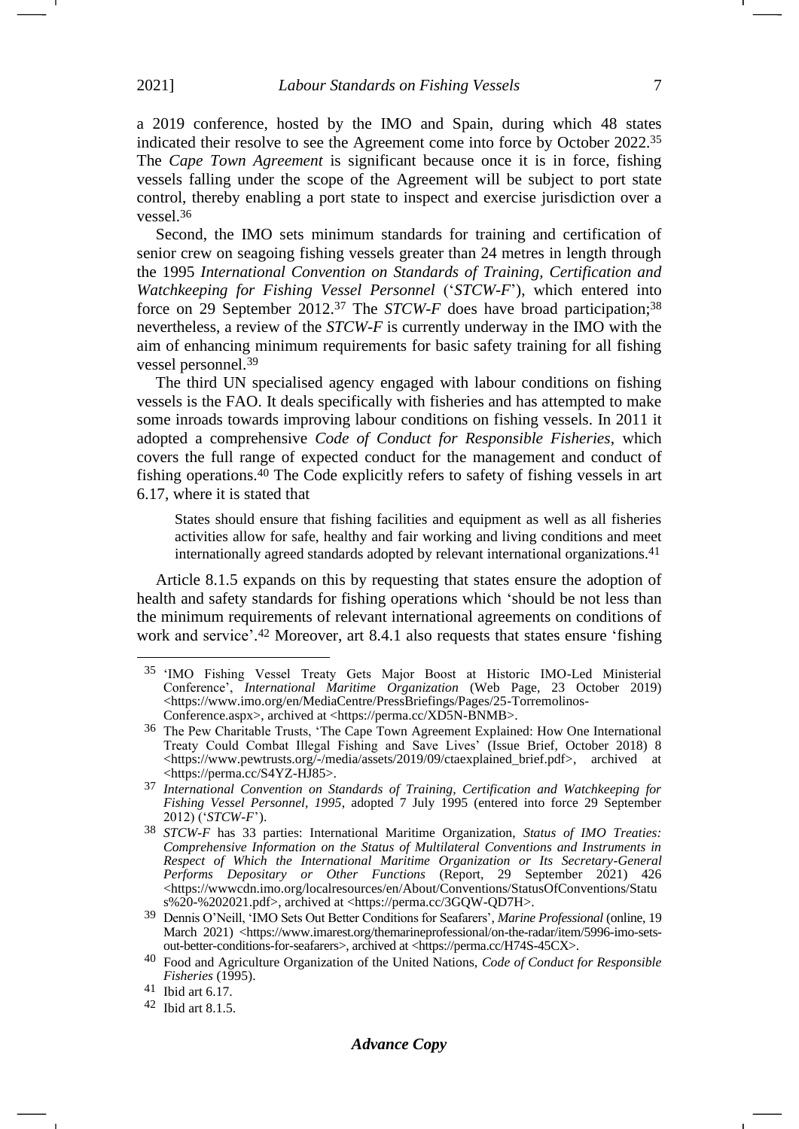a 2019 conference, hosted by the IMO and Spain, during which 48 states indicated their resolve to see the Agreement come into force by October 2022.<sup>35</sup> The *Cape Town Agreement* is significant because once it is in force, fishing vessels falling under the scope of the Agreement will be subject to port state control, thereby enabling a port state to inspect and exercise jurisdiction over a vessel.<sup>36</sup>

Second, the IMO sets minimum standards for training and certification of senior crew on seagoing fishing vessels greater than 24 metres in length through the 1995 *International Convention on Standards of Training, Certification and Watchkeeping for Fishing Vessel Personnel* ('*STCW-F*'), which entered into force on 29 September 2012.<sup>37</sup> The *STCW-F* does have broad participation; 38 nevertheless, a review of the *STCW-F* is currently underway in the IMO with the aim of enhancing minimum requirements for basic safety training for all fishing vessel personnel.<sup>39</sup>

The third UN specialised agency engaged with labour conditions on fishing vessels is the FAO. It deals specifically with fisheries and has attempted to make some inroads towards improving labour conditions on fishing vessels. In 2011 it adopted a comprehensive *Code of Conduct for Responsible Fisheries*, which covers the full range of expected conduct for the management and conduct of fishing operations.<sup>40</sup> The Code explicitly refers to safety of fishing vessels in art 6.17, where it is stated that

States should ensure that fishing facilities and equipment as well as all fisheries activities allow for safe, healthy and fair working and living conditions and meet internationally agreed standards adopted by relevant international organizations.<sup>41</sup>

Article 8.1.5 expands on this by requesting that states ensure the adoption of health and safety standards for fishing operations which 'should be not less than the minimum requirements of relevant international agreements on conditions of work and service'. <sup>42</sup> Moreover, art 8.4.1 also requests that states ensure 'fishing -1

<sup>35</sup> 'IMO Fishing Vessel Treaty Gets Major Boost at Historic IMO-Led Ministerial Conference', *International Maritime Organization* (Web Page, 23 October 2019) <https://www.imo.org/en/MediaCentre/PressBriefings/Pages/25-Torremolinos-Conference.aspx>, archived at <https://perma.cc/XD5N-BNMB>.

<sup>36</sup> The Pew Charitable Trusts, 'The Cape Town Agreement Explained: How One International Treaty Could Combat Illegal Fishing and Save Lives' (Issue Brief, October 2018) 8 <https://www.pewtrusts.org/-/media/assets/2019/09/ctaexplained\_brief.pdf>, archived at <https://perma.cc/S4YZ-HJ85>.

<sup>37</sup> *International Convention on Standards of Training, Certification and Watchkeeping for Fishing Vessel Personnel, 1995, adopted 7 July 1995 (entered into force 29 September* 2012) ('*STCW-F*').

<sup>38</sup> *STCW-F* has 33 parties: International Maritime Organization, *Status of IMO Treaties: Comprehensive Information on the Status of Multilateral Conventions and Instruments in Respect of Which the International Maritime Organization or Its Secretary-General Performs Depositary or Other Functions* (Report, 29 September 2021) 426 <https://wwwcdn.imo.org/localresources/en/About/Conventions/StatusOfConventions/Statu s%20-%202021.pdf>, archived at <https://perma.cc/3GQW-QD7H>.

<sup>39</sup> Dennis O'Neill, 'IMO Sets Out Better Conditions for Seafarers', *Marine Professional* (online, 19 March 2021) <https://www.imarest.org/themarineprofessional/on-the-radar/item/5996-imo-setsout-better-conditions-for-seafarers>, archived at <https://perma.cc/H74S-45CX>.

<sup>40</sup> Food and Agriculture Organization of the United Nations, *Code of Conduct for Responsible Fisheries* (1995).

<sup>41</sup> Ibid art 6.17.

<sup>42</sup> Ibid art 8.1.5.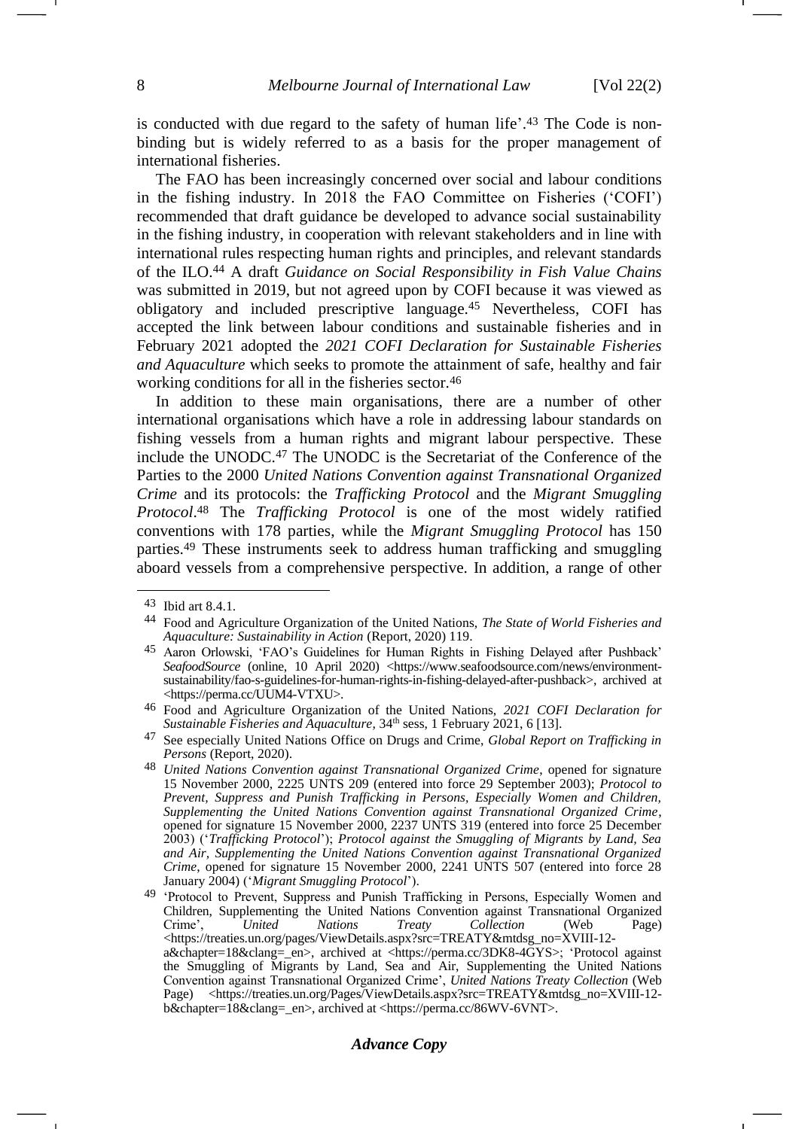is conducted with due regard to the safety of human life'. <sup>43</sup> The Code is nonbinding but is widely referred to as a basis for the proper management of international fisheries.

The FAO has been increasingly concerned over social and labour conditions in the fishing industry. In 2018 the FAO Committee on Fisheries ('COFI') recommended that draft guidance be developed to advance social sustainability in the fishing industry, in cooperation with relevant stakeholders and in line with international rules respecting human rights and principles, and relevant standards of the ILO.<sup>44</sup> A draft *Guidance on Social Responsibility in Fish Value Chains* was submitted in 2019, but not agreed upon by COFI because it was viewed as obligatory and included prescriptive language.<sup>45</sup> Nevertheless, COFI has accepted the link between labour conditions and sustainable fisheries and in February 2021 adopted the *2021 COFI Declaration for Sustainable Fisheries and Aquaculture* which seeks to promote the attainment of safe, healthy and fair working conditions for all in the fisheries sector.<sup>46</sup>

<span id="page-7-0"></span>In addition to these main organisations, there are a number of other international organisations which have a role in addressing labour standards on fishing vessels from a human rights and migrant labour perspective. These include the UNODC.<sup>47</sup> The UNODC is the Secretariat of the Conference of the Parties to the 2000 *United Nations Convention against Transnational Organized Crime* and its protocols: the *Trafficking Protocol* and the *Migrant Smuggling Protocol*. <sup>48</sup> The *Trafficking Protocol* is one of the most widely ratified conventions with 178 parties, while the *Migrant Smuggling Protocol* has 150 parties.<sup>49</sup> These instruments seek to address human trafficking and smuggling aboard vessels from a comprehensive perspective. In addition, a range of other

<span id="page-7-1"></span><sup>43</sup> Ibid art 8.4.1.

<sup>44</sup> Food and Agriculture Organization of the United Nations, *The State of World Fisheries and Aquaculture: Sustainability in Action* (Report, 2020) 119.

<sup>45</sup> Aaron Orlowski, 'FAO's Guidelines for Human Rights in Fishing Delayed after Pushback' SeafoodSource (online, 10 April 2020) <https://www.seafoodsource.com/news/environmentsustainability/fao-s-guidelines-for-human-rights-in-fishing-delayed-after-pushback>, archived at <https://perma.cc/UUM4-VTXU>.

<sup>46</sup> Food and Agriculture Organization of the United Nations, *2021 COFI Declaration for Sustainable Fisheries and Aquaculture*, 34<sup>th</sup> sess, 1 February 2021, 6 [13].

<sup>47</sup> See especially United Nations Office on Drugs and Crime, *Global Report on Trafficking in Persons* (Report, 2020).

<sup>48</sup> *United Nations Convention against Transnational Organized Crime*, opened for signature 15 November 2000, 2225 UNTS 209 (entered into force 29 September 2003); *Protocol to Prevent, Suppress and Punish Trafficking in Persons, Especially Women and Children, Supplementing the United Nations Convention against Transnational Organized Crime*, opened for signature 15 November 2000, 2237 UNTS 319 (entered into force 25 December 2003) ('*Trafficking Protocol*'); *Protocol against the Smuggling of Migrants by Land, Sea and Air, Supplementing the United Nations Convention against Transnational Organized Crime*, opened for signature 15 November 2000, 2241 UNTS 507 (entered into force 28 January 2004) ('*Migrant Smuggling Protocol*').

<sup>&</sup>lt;sup>49</sup> 'Protocol to Prevent, Suppress and Punish Trafficking in Persons, Especially Women and Children, Supplementing the United Nations Convention against Transnational Organized Crime', *United Nations Treaty Collection* (Web Page) <https://treaties.un.org/pages/ViewDetails.aspx?src=TREATY&mtdsg\_no=XVIII-12 a&chapter=18&clang=\_en>, archived at <https://perma.cc/3DK8-4GYS>; 'Protocol against the Smuggling of Migrants by Land, Sea and Air, Supplementing the United Nations Convention against Transnational Organized Crime', *United Nations Treaty Collection* (Web Page) <https://treaties.un.org/Pages/ViewDetails.aspx?src=TREATY&mtdsg\_no=XVIII-12 b&chapter=18&clang=\_en>, archived at <https://perma.cc/86WV-6VNT>.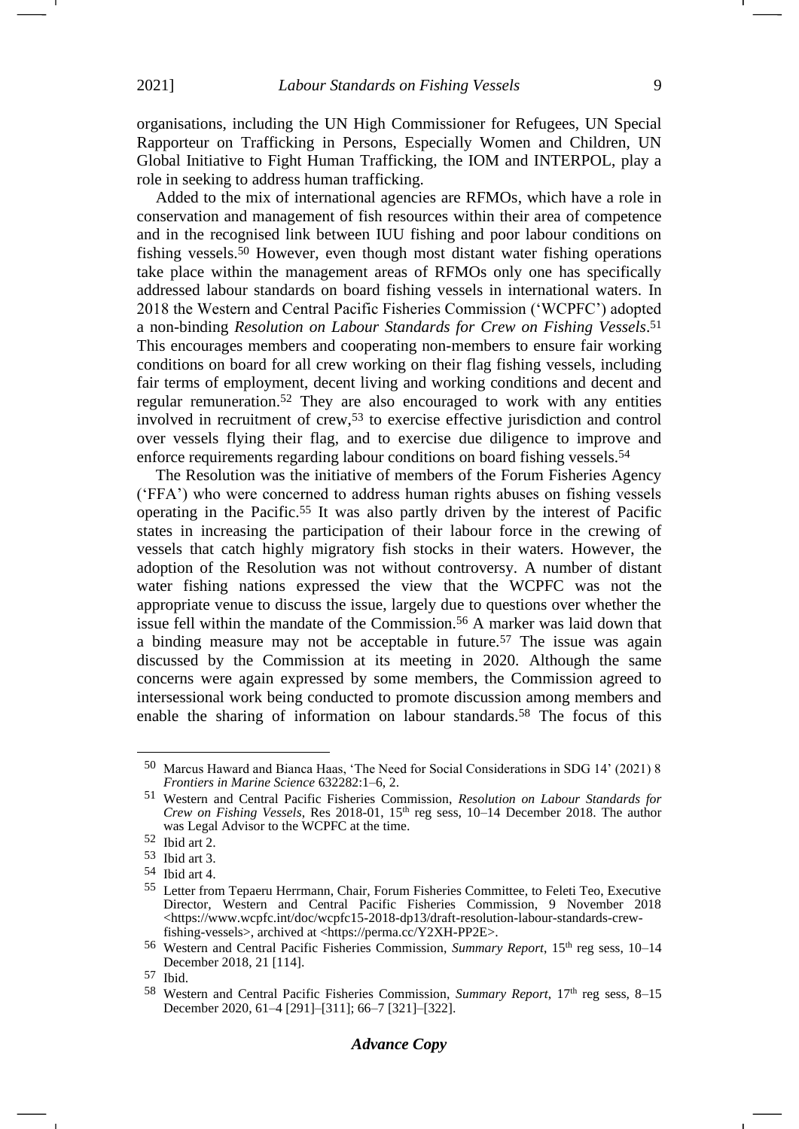organisations, including the UN High Commissioner for Refugees, UN Special Rapporteur on Trafficking in Persons, Especially Women and Children, UN Global Initiative to Fight Human Trafficking, the IOM and INTERPOL, play a role in seeking to address human trafficking.

<span id="page-8-0"></span>Added to the mix of international agencies are RFMOs, which have a role in conservation and management of fish resources within their area of competence and in the recognised link between IUU fishing and poor labour conditions on fishing vessels.<sup>50</sup> However, even though most distant water fishing operations take place within the management areas of RFMOs only one has specifically addressed labour standards on board fishing vessels in international waters. In 2018 the Western and Central Pacific Fisheries Commission ('WCPFC') adopted a non-binding *Resolution on Labour Standards for Crew on Fishing Vessels*. 51 This encourages members and cooperating non-members to ensure fair working conditions on board for all crew working on their flag fishing vessels, including fair terms of employment, decent living and working conditions and decent and regular remuneration.<sup>52</sup> They are also encouraged to work with any entities involved in recruitment of crew,<sup>53</sup> to exercise effective jurisdiction and control over vessels flying their flag, and to exercise due diligence to improve and enforce requirements regarding labour conditions on board fishing vessels.<sup>54</sup>

The Resolution was the initiative of members of the Forum Fisheries Agency ('FFA') who were concerned to address human rights abuses on fishing vessels operating in the Pacific.<sup>55</sup> It was also partly driven by the interest of Pacific states in increasing the participation of their labour force in the crewing of vessels that catch highly migratory fish stocks in their waters. However, the adoption of the Resolution was not without controversy. A number of distant water fishing nations expressed the view that the WCPFC was not the appropriate venue to discuss the issue, largely due to questions over whether the issue fell within the mandate of the Commission.<sup>56</sup> A marker was laid down that a binding measure may not be acceptable in future.<sup>57</sup> The issue was again discussed by the Commission at its meeting in 2020. Although the same concerns were again expressed by some members, the Commission agreed to intersessional work being conducted to promote discussion among members and enable the sharing of information on labour standards.<sup>58</sup> The focus of this

<sup>50</sup> Marcus Haward and Bianca Haas, 'The Need for Social Considerations in SDG 14' (2021) 8 *Frontiers in Marine Science* 632282:1–6, 2.

<sup>51</sup> Western and Central Pacific Fisheries Commission, *Resolution on Labour Standards for Crew on Fishing Vessels*, Res 2018-01, 15th reg sess, 10–14 December 2018. The author was Legal Advisor to the WCPFC at the time.

<sup>52</sup> Ibid art 2.

<sup>53</sup> Ibid art 3.

<sup>54</sup> Ibid art 4.

<sup>55</sup> Letter from Tepaeru Herrmann, Chair, Forum Fisheries Committee, to Feleti Teo, Executive Director, Western and Central Pacific Fisheries Commission, 9 November 2018 <https://www.wcpfc.int/doc/wcpfc15-2018-dp13/draft-resolution-labour-standards-crewfishing-vessels>, archived at <https://perma.cc/Y2XH-PP2E>.

<sup>56</sup> Western and Central Pacific Fisheries Commission, *Summary Report*, 15th reg sess, 10–14 December 2018, 21 [114].

<sup>57</sup> Ibid.

<sup>58</sup> Western and Central Pacific Fisheries Commission, *Summary Report*, 17th reg sess, 8–15 December 2020, 61–4 [291]–[311]; 66–7 [321]–[322].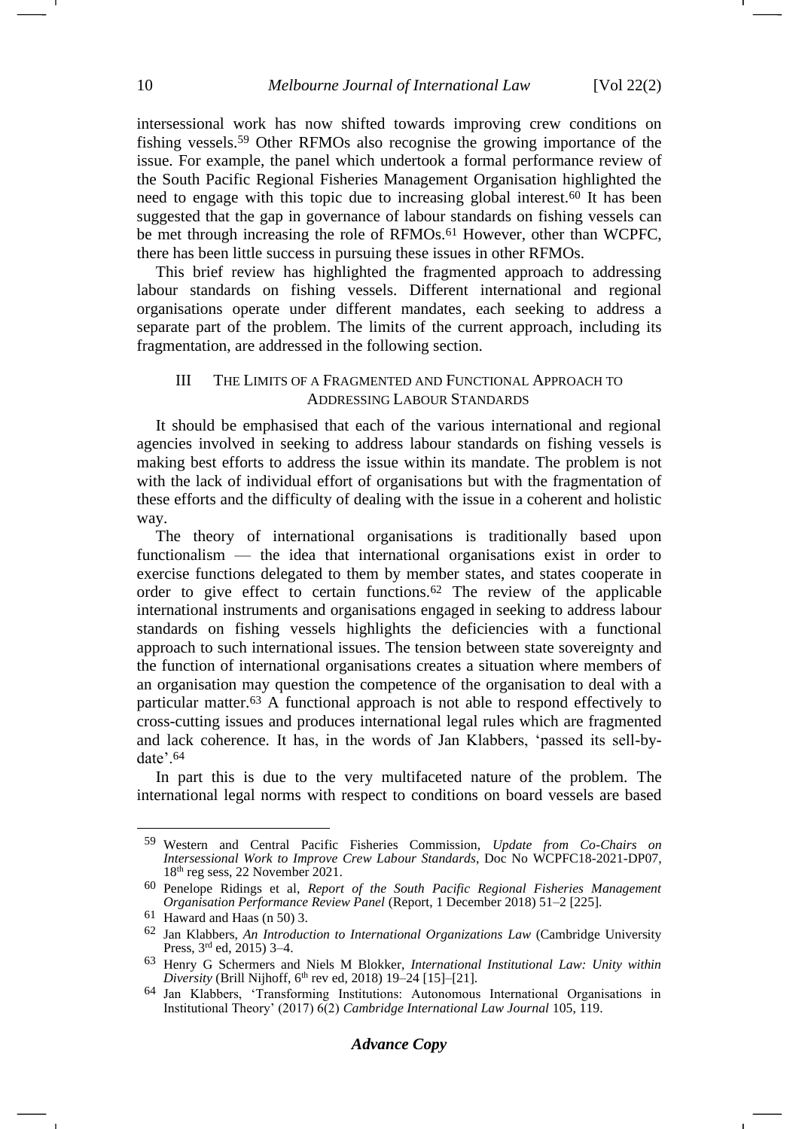intersessional work has now shifted towards improving crew conditions on fishing vessels.<sup>59</sup> Other RFMOs also recognise the growing importance of the issue. For example, the panel which undertook a formal performance review of the South Pacific Regional Fisheries Management Organisation highlighted the need to engage with this topic due to increasing global interest.<sup>60</sup> It has been suggested that the gap in governance of labour standards on fishing vessels can be met through increasing the role of RFMOs.<sup>61</sup> However, other than WCPFC, there has been little success in pursuing these issues in other RFMOs.

This brief review has highlighted the fragmented approach to addressing labour standards on fishing vessels. Different international and regional organisations operate under different mandates, each seeking to address a separate part of the problem. The limits of the current approach, including its fragmentation, are addressed in the following section.

# III THE LIMITS OF A FRAGMENTED AND FUNCTIONAL APPROACH TO ADDRESSING LABOUR STANDARDS

It should be emphasised that each of the various international and regional agencies involved in seeking to address labour standards on fishing vessels is making best efforts to address the issue within its mandate. The problem is not with the lack of individual effort of organisations but with the fragmentation of these efforts and the difficulty of dealing with the issue in a coherent and holistic way.

The theory of international organisations is traditionally based upon functionalism — the idea that international organisations exist in order to exercise functions delegated to them by member states, and states cooperate in order to give effect to certain functions.<sup>62</sup> The review of the applicable international instruments and organisations engaged in seeking to address labour standards on fishing vessels highlights the deficiencies with a functional approach to such international issues. The tension between state sovereignty and the function of international organisations creates a situation where members of an organisation may question the competence of the organisation to deal with a particular matter.<sup>63</sup> A functional approach is not able to respond effectively to cross-cutting issues and produces international legal rules which are fragmented and lack coherence. It has, in the words of Jan Klabbers, 'passed its sell-bydate'.<sup>64</sup>

In part this is due to the very multifaceted nature of the problem. The international legal norms with respect to conditions on board vessels are based

<sup>59</sup> Western and Central Pacific Fisheries Commission, *Update from Co-Chairs on Intersessional Work to Improve Crew Labour Standards*, Doc No WCPFC18-2021-DP07, 18th reg sess, 22 November 2021.

<sup>60</sup> Penelope Ridings et al, *Report of the South Pacific Regional Fisheries Management Organisation Performance Review Panel* (Report, 1 December 2018) 51–2 [225].

<sup>61</sup> Haward and Haas (n [50\)](#page-8-0) 3.

<sup>62</sup> Jan Klabbers, *An Introduction to International Organizations Law* (Cambridge University Press, 3rd ed, 2015) 3–4.

<sup>63</sup> Henry G Schermers and Niels M Blokker, *International Institutional Law: Unity within Diversity* (Brill Nijhoff,  $6<sup>th</sup>$  rev ed, 2018) 19–24 [15]–[21].

<sup>64</sup> Jan Klabbers, 'Transforming Institutions: Autonomous International Organisations in Institutional Theory' (2017) 6(2) *Cambridge International Law Journal* 105, 119.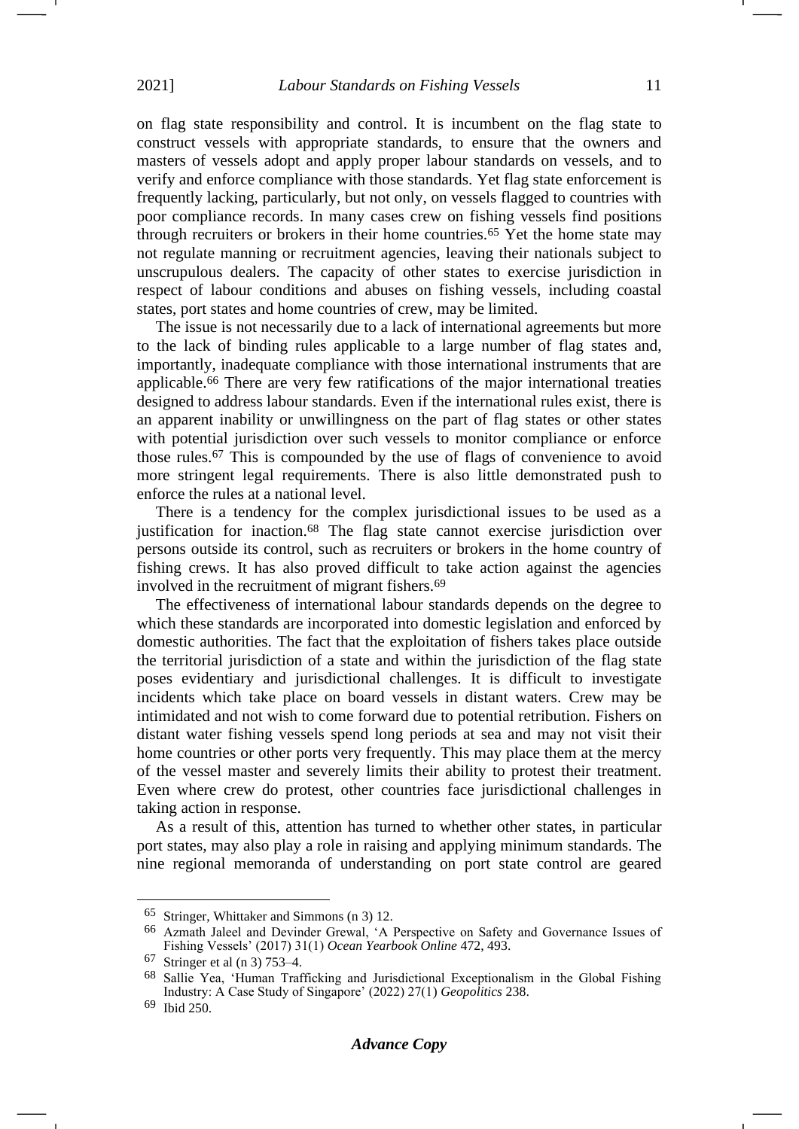on flag state responsibility and control. It is incumbent on the flag state to construct vessels with appropriate standards, to ensure that the owners and masters of vessels adopt and apply proper labour standards on vessels, and to verify and enforce compliance with those standards. Yet flag state enforcement is frequently lacking, particularly, but not only, on vessels flagged to countries with poor compliance records. In many cases crew on fishing vessels find positions through recruiters or brokers in their home countries.<sup>65</sup> Yet the home state may not regulate manning or recruitment agencies, leaving their nationals subject to unscrupulous dealers. The capacity of other states to exercise jurisdiction in respect of labour conditions and abuses on fishing vessels, including coastal states, port states and home countries of crew, may be limited.

<span id="page-10-0"></span>The issue is not necessarily due to a lack of international agreements but more to the lack of binding rules applicable to a large number of flag states and, importantly, inadequate compliance with those international instruments that are applicable.<sup>66</sup> There are very few ratifications of the major international treaties designed to address labour standards. Even if the international rules exist, there is an apparent inability or unwillingness on the part of flag states or other states with potential jurisdiction over such vessels to monitor compliance or enforce those rules.<sup>67</sup> This is compounded by the use of flags of convenience to avoid more stringent legal requirements. There is also little demonstrated push to enforce the rules at a national level.

There is a tendency for the complex jurisdictional issues to be used as a justification for inaction.<sup>68</sup> The flag state cannot exercise jurisdiction over persons outside its control, such as recruiters or brokers in the home country of fishing crews. It has also proved difficult to take action against the agencies involved in the recruitment of migrant fishers.<sup>69</sup>

The effectiveness of international labour standards depends on the degree to which these standards are incorporated into domestic legislation and enforced by domestic authorities. The fact that the exploitation of fishers takes place outside the territorial jurisdiction of a state and within the jurisdiction of the flag state poses evidentiary and jurisdictional challenges. It is difficult to investigate incidents which take place on board vessels in distant waters. Crew may be intimidated and not wish to come forward due to potential retribution. Fishers on distant water fishing vessels spend long periods at sea and may not visit their home countries or other ports very frequently. This may place them at the mercy of the vessel master and severely limits their ability to protest their treatment. Even where crew do protest, other countries face jurisdictional challenges in taking action in response.

As a result of this, attention has turned to whether other states, in particular port states, may also play a role in raising and applying minimum standards. The nine regional memoranda of understanding on port state control are geared

<sup>65</sup> Stringer, Whittaker and Simmons ([n 3\)](#page-1-1) 12.

<sup>66</sup> Azmath Jaleel and Devinder Grewal, 'A Perspective on Safety and Governance Issues of Fishing Vessels' (2017) 31(1) *Ocean Yearbook Online* 472, 493.

<sup>67</sup> Stringer et al (n [3\)](#page-1-1) 753–4.

<sup>68</sup> Sallie Yea, 'Human Trafficking and Jurisdictional Exceptionalism in the Global Fishing Industry: A Case Study of Singapore' (2022) 27(1) *Geopolitics* 238.

<sup>69</sup> Ibid 250.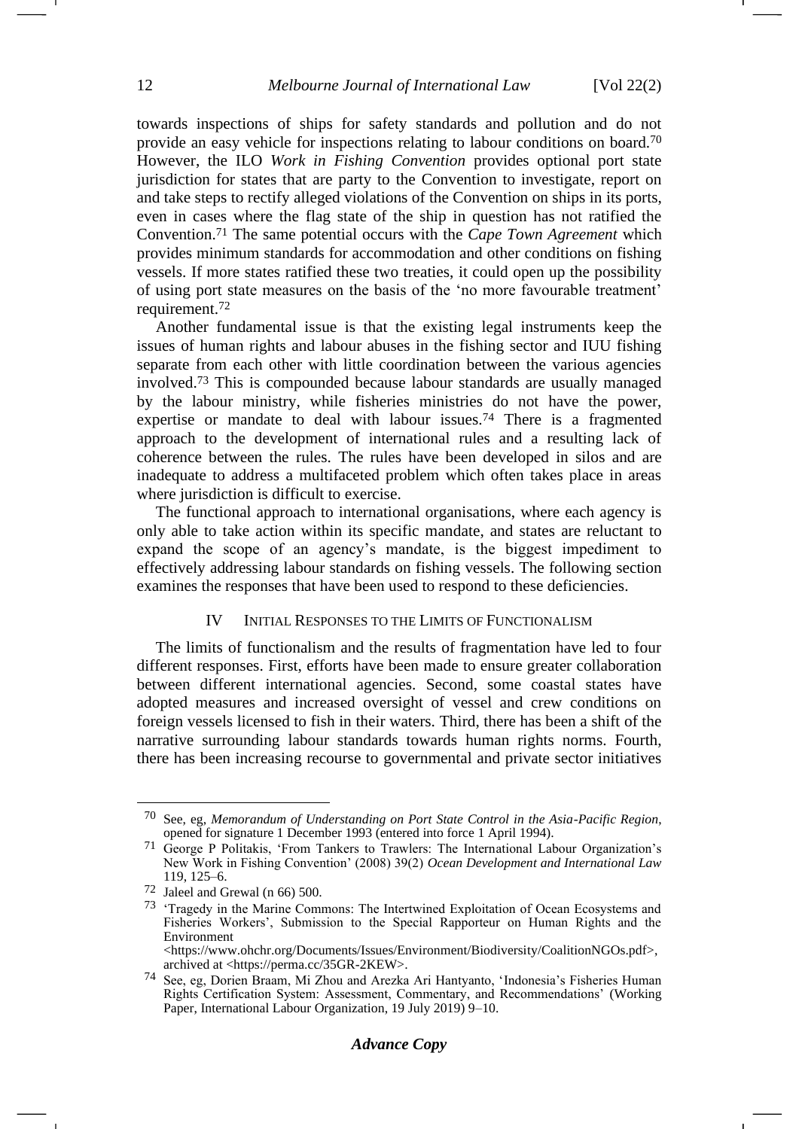towards inspections of ships for safety standards and pollution and do not provide an easy vehicle for inspections relating to labour conditions on board.<sup>70</sup> However, the ILO *Work in Fishing Convention* provides optional port state jurisdiction for states that are party to the Convention to investigate, report on and take steps to rectify alleged violations of the Convention on ships in its ports, even in cases where the flag state of the ship in question has not ratified the Convention.<sup>71</sup> The same potential occurs with the *Cape Town Agreement* which provides minimum standards for accommodation and other conditions on fishing vessels. If more states ratified these two treaties, it could open up the possibility of using port state measures on the basis of the 'no more favourable treatment' requirement.<sup>72</sup>

Another fundamental issue is that the existing legal instruments keep the issues of human rights and labour abuses in the fishing sector and IUU fishing separate from each other with little coordination between the various agencies involved.<sup>73</sup> This is compounded because labour standards are usually managed by the labour ministry, while fisheries ministries do not have the power, expertise or mandate to deal with labour issues.<sup>74</sup> There is a fragmented approach to the development of international rules and a resulting lack of coherence between the rules. The rules have been developed in silos and are inadequate to address a multifaceted problem which often takes place in areas where jurisdiction is difficult to exercise.

The functional approach to international organisations, where each agency is only able to take action within its specific mandate, and states are reluctant to expand the scope of an agency's mandate, is the biggest impediment to effectively addressing labour standards on fishing vessels. The following section examines the responses that have been used to respond to these deficiencies.

## IV INITIAL RESPONSES TO THE LIMITS OF FUNCTIONALISM

The limits of functionalism and the results of fragmentation have led to four different responses. First, efforts have been made to ensure greater collaboration between different international agencies. Second, some coastal states have adopted measures and increased oversight of vessel and crew conditions on foreign vessels licensed to fish in their waters. Third, there has been a shift of the narrative surrounding labour standards towards human rights norms. Fourth, there has been increasing recourse to governmental and private sector initiatives

archived at <https://perma.cc/35GR-2KEW>.

<sup>70</sup> See, eg, *Memorandum of Understanding on Port State Control in the Asia-Pacific Region*, opened for signature 1 December 1993 (entered into force 1 April 1994).

<sup>71</sup> George P Politakis, 'From Tankers to Trawlers: The International Labour Organization's New Work in Fishing Convention' (2008) 39(2) *Ocean Development and International Law* 119, 125–6.

<sup>72</sup> Jaleel and Grewal (n [66\)](#page-10-0) 500.

<sup>73</sup> 'Tragedy in the Marine Commons: The Intertwined Exploitation of Ocean Ecosystems and Fisheries Workers', Submission to the Special Rapporteur on Human Rights and the Environment <https://www.ohchr.org/Documents/Issues/Environment/Biodiversity/CoalitionNGOs.pdf>,

<sup>74</sup> See, eg, Dorien Braam, Mi Zhou and Arezka Ari Hantyanto, 'Indonesia's Fisheries Human Rights Certification System: Assessment, Commentary, and Recommendations' (Working Paper, International Labour Organization, 19 July 2019) 9–10.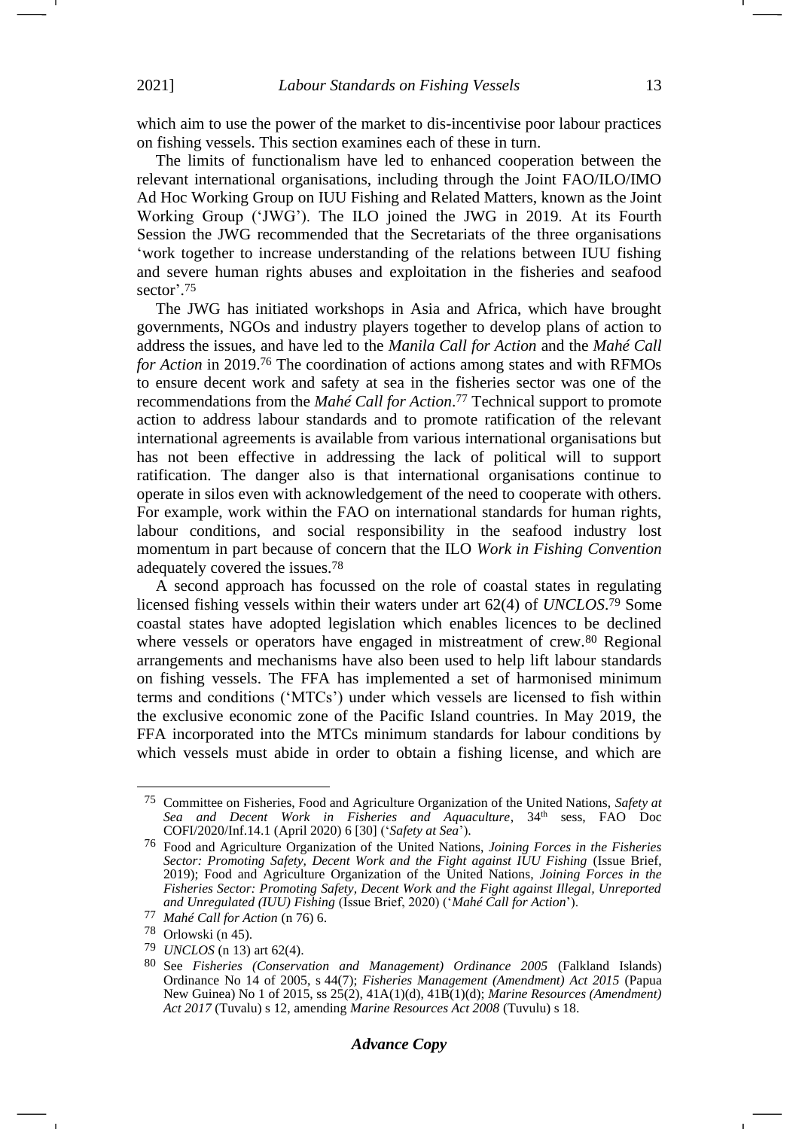which aim to use the power of the market to dis-incentivise poor labour practices on fishing vessels. This section examines each of these in turn.

The limits of functionalism have led to enhanced cooperation between the relevant international organisations, including through the Joint FAO/ILO/IMO Ad Hoc Working Group on IUU Fishing and Related Matters, known as the Joint Working Group ('JWG'). The ILO joined the JWG in 2019. At its Fourth Session the JWG recommended that the Secretariats of the three organisations 'work together to increase understanding of the relations between IUU fishing and severe human rights abuses and exploitation in the fisheries and seafood sector'. 75

<span id="page-12-1"></span><span id="page-12-0"></span>The JWG has initiated workshops in Asia and Africa, which have brought governments, NGOs and industry players together to develop plans of action to address the issues, and have led to the *Manila Call for Action* and the *Mahé Call for Action* in 2019.<sup>76</sup> The coordination of actions among states and with RFMOs to ensure decent work and safety at sea in the fisheries sector was one of the recommendations from the *Mahé Call for Action*. <sup>77</sup> Technical support to promote action to address labour standards and to promote ratification of the relevant international agreements is available from various international organisations but has not been effective in addressing the lack of political will to support ratification. The danger also is that international organisations continue to operate in silos even with acknowledgement of the need to cooperate with others. For example, work within the FAO on international standards for human rights, labour conditions, and social responsibility in the seafood industry lost momentum in part because of concern that the ILO *Work in Fishing Convention* adequately covered the issues.<sup>78</sup>

A second approach has focussed on the role of coastal states in regulating licensed fishing vessels within their waters under art 62(4) of *UNCLOS*. <sup>79</sup> Some coastal states have adopted legislation which enables licences to be declined where vessels or operators have engaged in mistreatment of crew.<sup>80</sup> Regional arrangements and mechanisms have also been used to help lift labour standards on fishing vessels. The FFA has implemented a set of harmonised minimum terms and conditions ('MTCs') under which vessels are licensed to fish within the exclusive economic zone of the Pacific Island countries. In May 2019, the FFA incorporated into the MTCs minimum standards for labour conditions by which vessels must abide in order to obtain a fishing license, and which are

<sup>75</sup> Committee on Fisheries, Food and Agriculture Organization of the United Nations, *Safety at*  Sea and Decent Work in Fisheries and Aquaculture, 34<sup>th</sup> sess, FAO Doc COFI/2020/Inf.14.1 (April 2020) 6 [30] ('*Safety at Sea*').

<sup>76</sup> Food and Agriculture Organization of the United Nations, *Joining Forces in the Fisheries Sector: Promoting Safety, Decent Work and the Fight against IUU Fishing* (Issue Brief, 2019); Food and Agriculture Organization of the United Nations, *Joining Forces in the Fisheries Sector: Promoting Safety, Decent Work and the Fight against Illegal, Unreported and Unregulated (IUU) Fishing* (Issue Brief, 2020) ('*Mahé Call for Action*').

<sup>77</sup> *Mahé Call for Action* ([n 76\)](#page-12-0) 6.

<sup>78</sup> Orlowski (n [45\)](#page-7-0).

<sup>79</sup> *UNCLOS* (n [13\)](#page-3-1) art 62(4).

<sup>80</sup> See *Fisheries (Conservation and Management) Ordinance 2005* (Falkland Islands) Ordinance No 14 of 2005, s 44(7); *Fisheries Management (Amendment) Act 2015* (Papua New Guinea) No 1 of 2015, ss 25(2), 41A(1)(d), 41B(1)(d); *Marine Resources (Amendment) Act 2017* (Tuvalu) s 12, amending *Marine Resources Act 2008* (Tuvulu) s 18.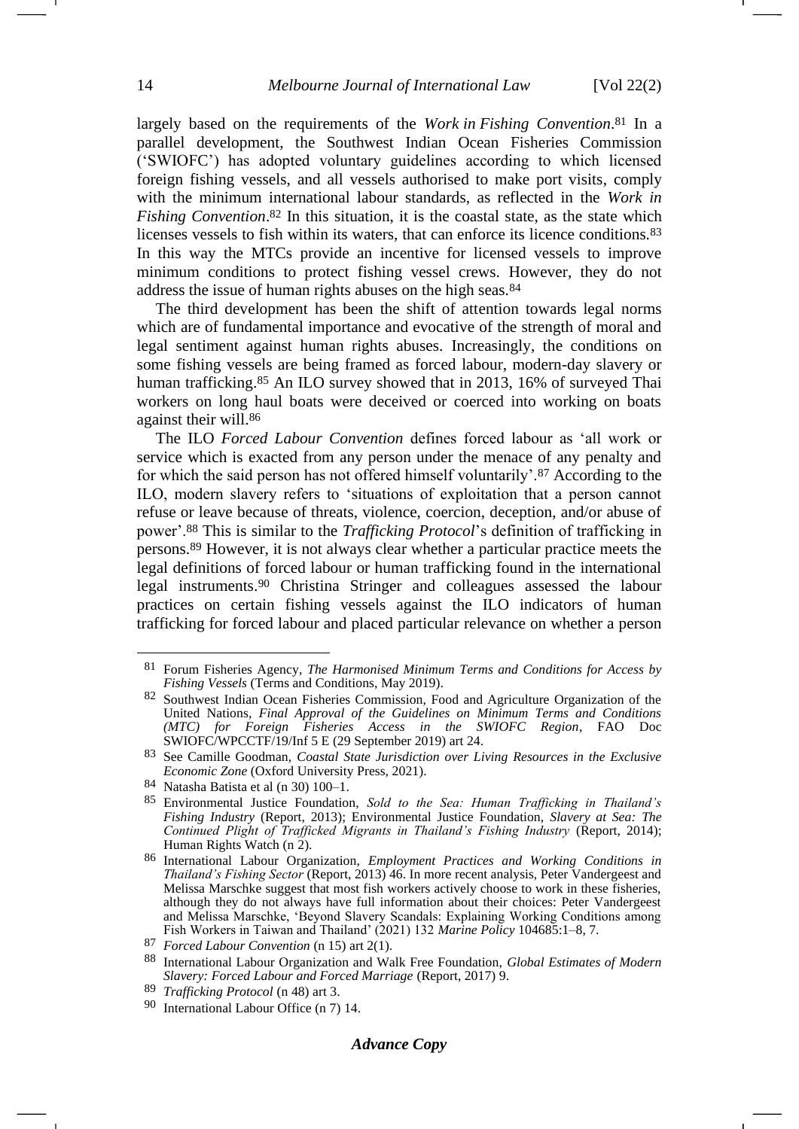largely based on the requirements of the *Work in Fishing Convention*. <sup>81</sup> In a parallel development, the Southwest Indian Ocean Fisheries Commission ('SWIOFC') has adopted voluntary guidelines according to which licensed foreign fishing vessels, and all vessels authorised to make port visits, comply with the minimum international labour standards, as reflected in the *Work in Fishing Convention*. <sup>82</sup> In this situation, it is the coastal state, as the state which licenses vessels to fish within its waters, that can enforce its licence conditions.<sup>83</sup> In this way the MTCs provide an incentive for licensed vessels to improve minimum conditions to protect fishing vessel crews. However, they do not address the issue of human rights abuses on the high seas.<sup>84</sup>

The third development has been the shift of attention towards legal norms which are of fundamental importance and evocative of the strength of moral and legal sentiment against human rights abuses. Increasingly, the conditions on some fishing vessels are being framed as forced labour, modern-day slavery or human trafficking.<sup>85</sup> An ILO survey showed that in 2013, 16% of surveyed Thai workers on long haul boats were deceived or coerced into working on boats against their will.<sup>86</sup>

The ILO *Forced Labour Convention* defines forced labour as 'all work or service which is exacted from any person under the menace of any penalty and for which the said person has not offered himself voluntarily'.<sup>87</sup> According to the ILO, modern slavery refers to 'situations of exploitation that a person cannot refuse or leave because of threats, violence, coercion, deception, and/or abuse of power'.<sup>88</sup> This is similar to the *Trafficking Protocol*'s definition of trafficking in persons.<sup>89</sup> However, it is not always clear whether a particular practice meets the legal definitions of forced labour or human trafficking found in the international legal instruments.<sup>90</sup> Christina Stringer and colleagues assessed the labour practices on certain fishing vessels against the ILO indicators of human trafficking for forced labour and placed particular relevance on whether a person

<sup>81</sup> Forum Fisheries Agency, *The Harmonised Minimum Terms and Conditions for Access by Fishing Vessels* (Terms and Conditions, May 2019).

<sup>82</sup> Southwest Indian Ocean Fisheries Commission, Food and Agriculture Organization of the United Nations, *Final Approval of the Guidelines on Minimum Terms and Conditions (MTC) for Foreign Fisheries Access in the SWIOFC Region*, FAO Doc SWIOFC/WPCCTF/19/Inf 5 E (29 September 2019) art 24.

<sup>83</sup> See Camille Goodman, *Coastal State Jurisdiction over Living Resources in the Exclusive Economic Zone* (Oxford University Press, 2021).

<sup>84</sup> Natasha Batista et al (n [30\)](#page-5-0) 100–1.

<sup>85</sup> Environmental Justice Foundation, *Sold to the Sea: Human Trafficking in Thailand's Fishing Industry* (Report, 2013); Environmental Justice Foundation, *Slavery at Sea: The Continued Plight of Trafficked Migrants in Thailand's Fishing Industry* (Report, 2014); Human Rights Watch (n [2\)](#page-1-0).

<sup>86</sup> International Labour Organization, *Employment Practices and Working Conditions in Thailand's Fishing Sector* (Report, 2013) 46. In more recent analysis, Peter Vandergeest and Melissa Marschke suggest that most fish workers actively choose to work in these fisheries, although they do not always have full information about their choices: Peter Vandergeest and Melissa Marschke, 'Beyond Slavery Scandals: Explaining Working Conditions among Fish Workers in Taiwan and Thailand' (2021) 132 *Marine Policy* 104685:1–8, 7.

<sup>87</sup> *Forced Labour Convention* ([n 15\)](#page-3-0) art 2(1).

<sup>88</sup> International Labour Organization and Walk Free Foundation, *Global Estimates of Modern Slavery: Forced Labour and Forced Marriage* (Report, 2017) 9.

<sup>89</sup> *Trafficking Protocol* (n [48\)](#page-7-1) art 3.

<sup>90</sup> International Labour Office (n [7\)](#page-1-3) 14.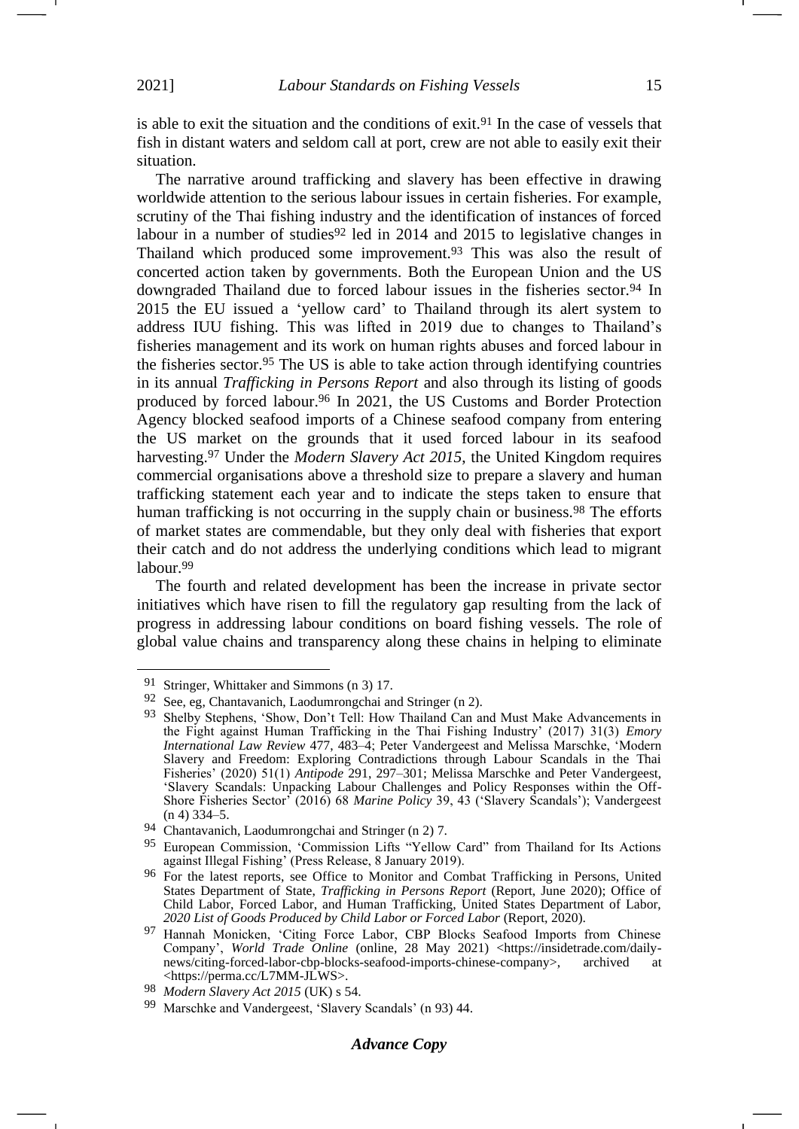is able to exit the situation and the conditions of exit.<sup>91</sup> In the case of vessels that fish in distant waters and seldom call at port, crew are not able to easily exit their situation.

<span id="page-14-0"></span>The narrative around trafficking and slavery has been effective in drawing worldwide attention to the serious labour issues in certain fisheries. For example, scrutiny of the Thai fishing industry and the identification of instances of forced labour in a number of studies<sup>92</sup> led in 2014 and 2015 to legislative changes in Thailand which produced some improvement.<sup>93</sup> This was also the result of concerted action taken by governments. Both the European Union and the US downgraded Thailand due to forced labour issues in the fisheries sector.<sup>94</sup> In 2015 the EU issued a 'yellow card' to Thailand through its alert system to address IUU fishing. This was lifted in 2019 due to changes to Thailand's fisheries management and its work on human rights abuses and forced labour in the fisheries sector.<sup>95</sup> The US is able to take action through identifying countries in its annual *Trafficking in Persons Report* and also through its listing of goods produced by forced labour.<sup>96</sup> In 2021, the US Customs and Border Protection Agency blocked seafood imports of a Chinese seafood company from entering the US market on the grounds that it used forced labour in its seafood harvesting.<sup>97</sup> Under the *Modern Slavery Act 2015*, the United Kingdom requires commercial organisations above a threshold size to prepare a slavery and human trafficking statement each year and to indicate the steps taken to ensure that human trafficking is not occurring in the supply chain or business.<sup>98</sup> The efforts of market states are commendable, but they only deal with fisheries that export their catch and do not address the underlying conditions which lead to migrant labour.<sup>99</sup>

The fourth and related development has been the increase in private sector initiatives which have risen to fill the regulatory gap resulting from the lack of progress in addressing labour conditions on board fishing vessels. The role of global value chains and transparency along these chains in helping to eliminate

<sup>91</sup> Stringer, Whittaker and Simmons (n [3\)](#page-1-1) 17.

<sup>92</sup> See, eg, Chantavanich, Laodumrongchai and Stringer (n [2\)](#page-1-0).

<sup>93</sup> Shelby Stephens, 'Show, Don't Tell: How Thailand Can and Must Make Advancements in the Fight against Human Trafficking in the Thai Fishing Industry' (2017) 31(3) *Emory International Law Review* 477, 483–4; Peter Vandergeest and Melissa Marschke, 'Modern Slavery and Freedom: Exploring Contradictions through Labour Scandals in the Thai Fisheries' (2020) 51(1) *Antipode* 291, 297–301; Melissa Marschke and Peter Vandergeest, 'Slavery Scandals: Unpacking Labour Challenges and Policy Responses within the Off-Shore Fisheries Sector' (2016) 68 *Marine Policy* 39, 43 ('Slavery Scandals'); Vandergeest (n [4\)](#page-1-2) 334–5.

<sup>94</sup> Chantavanich, Laodumrongchai and Stringer (n [2\)](#page-1-0) 7.

<sup>95</sup> European Commission, 'Commission Lifts "Yellow Card" from Thailand for Its Actions against Illegal Fishing' (Press Release, 8 January 2019).

<sup>96</sup> For the latest reports, see Office to Monitor and Combat Trafficking in Persons, United States Department of State, *Trafficking in Persons Report* (Report, June 2020); Office of Child Labor, Forced Labor, and Human Trafficking, United States Department of Labor, *2020 List of Goods Produced by Child Labor or Forced Labor* (Report, 2020).

<sup>97</sup> Hannah Monicken, 'Citing Force Labor, CBP Blocks Seafood Imports from Chinese Company', *World Trade Online* (online, 28 May 2021) <https://insidetrade.com/dailynews/citing-forced-labor-cbp-blocks-seafood-imports-chinese-company>, archived at <https://perma.cc/L7MM-JLWS>.

<sup>98</sup> *Modern Slavery Act 2015* (UK) s 54.

<sup>99</sup> Marschke and Vandergeest, 'Slavery Scandals' (n [93\)](#page-14-0) 44.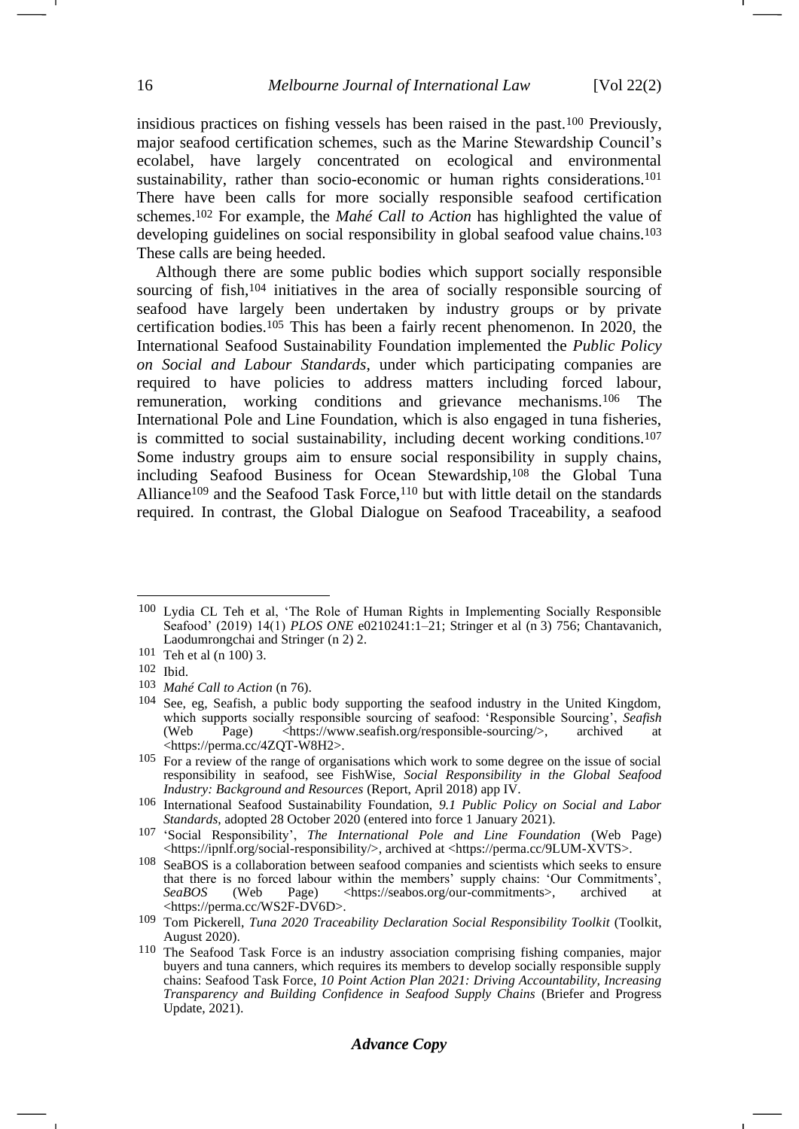<span id="page-15-0"></span>insidious practices on fishing vessels has been raised in the past.<sup>100</sup> Previously, major seafood certification schemes, such as the Marine Stewardship Council's ecolabel, have largely concentrated on ecological and environmental sustainability, rather than socio-economic or human rights considerations.<sup>101</sup> There have been calls for more socially responsible seafood certification schemes.<sup>102</sup> For example, the *Mahé Call to Action* has highlighted the value of developing guidelines on social responsibility in global seafood value chains.<sup>103</sup> These calls are being heeded.

Although there are some public bodies which support socially responsible sourcing of fish,<sup>104</sup> initiatives in the area of socially responsible sourcing of seafood have largely been undertaken by industry groups or by private certification bodies.<sup>105</sup> This has been a fairly recent phenomenon. In 2020, the International Seafood Sustainability Foundation implemented the *Public Policy on Social and Labour Standards*, under which participating companies are required to have policies to address matters including forced labour, remuneration, working conditions and grievance mechanisms.<sup>106</sup> The International Pole and Line Foundation, which is also engaged in tuna fisheries, is committed to social sustainability, including decent working conditions.<sup>107</sup> Some industry groups aim to ensure social responsibility in supply chains, including Seafood Business for Ocean Stewardship,<sup>108</sup> the Global Tuna Alliance<sup>109</sup> and the Seafood Task Force,<sup>110</sup> but with little detail on the standards required. In contrast, the Global Dialogue on Seafood Traceability, a seafood

# *Advance Copy*

<sup>100</sup> Lydia CL Teh et al, 'The Role of Human Rights in Implementing Socially Responsible Seafood' (2019) 14(1) *PLOS ONE* e0210241:1–21; Stringer et al (n [3\)](#page-1-1) 756; Chantavanich, Laodumrongchai and Stringer (n [2\)](#page-1-0) 2.

<sup>101</sup> Teh et al (n [100\)](#page-15-0) 3.

<sup>102</sup> Ibid.

<sup>103</sup> *Mahé Call to Action* ([n 76\)](#page-12-0).

<sup>104</sup> See, eg, Seafish, a public body supporting the seafood industry in the United Kingdom, which supports socially responsible sourcing of seafood: 'Responsible Sourcing', *Seafish* (Web Page) <https://www.seafish.org/responsible-sourcing/>, archived at  $\langle \text{https://www.seafish.org/response} \text{sponsible-sourcing}\rangle$ , archived at <https://perma.cc/4ZQT-W8H2>.

<sup>105</sup> For a review of the range of organisations which work to some degree on the issue of social responsibility in seafood, see FishWise, *Social Responsibility in the Global Seafood Industry: Background and Resources* (Report, April 2018) app IV.

<sup>106</sup> International Seafood Sustainability Foundation, *9.1 Public Policy on Social and Labor Standards*, adopted 28 October 2020 (entered into force 1 January 2021).

<sup>107</sup> 'Social Responsibility', *The International Pole and Line Foundation* (Web Page) <https://ipnlf.org/social-responsibility/>, archived at <https://perma.cc/9LUM-XVTS>.

<sup>108</sup> SeaBOS is a collaboration between seafood companies and scientists which seeks to ensure that there is no forced labour within the members' supply chains: 'Our Commitments',  $SeabOS$  (Web Page) <https://seabos.org/our-commitments>, archived at  $\langle \text{https://seabos.org/our-commitments}\rangle$ , <https://perma.cc/WS2F-DV6D>.

<sup>109</sup> Tom Pickerell, *Tuna 2020 Traceability Declaration Social Responsibility Toolkit* (Toolkit, August 2020).

<sup>110</sup> The Seafood Task Force is an industry association comprising fishing companies, major buyers and tuna canners, which requires its members to develop socially responsible supply chains: Seafood Task Force, *10 Point Action Plan 2021: Driving Accountability, Increasing Transparency and Building Confidence in Seafood Supply Chains* (Briefer and Progress Update, 2021).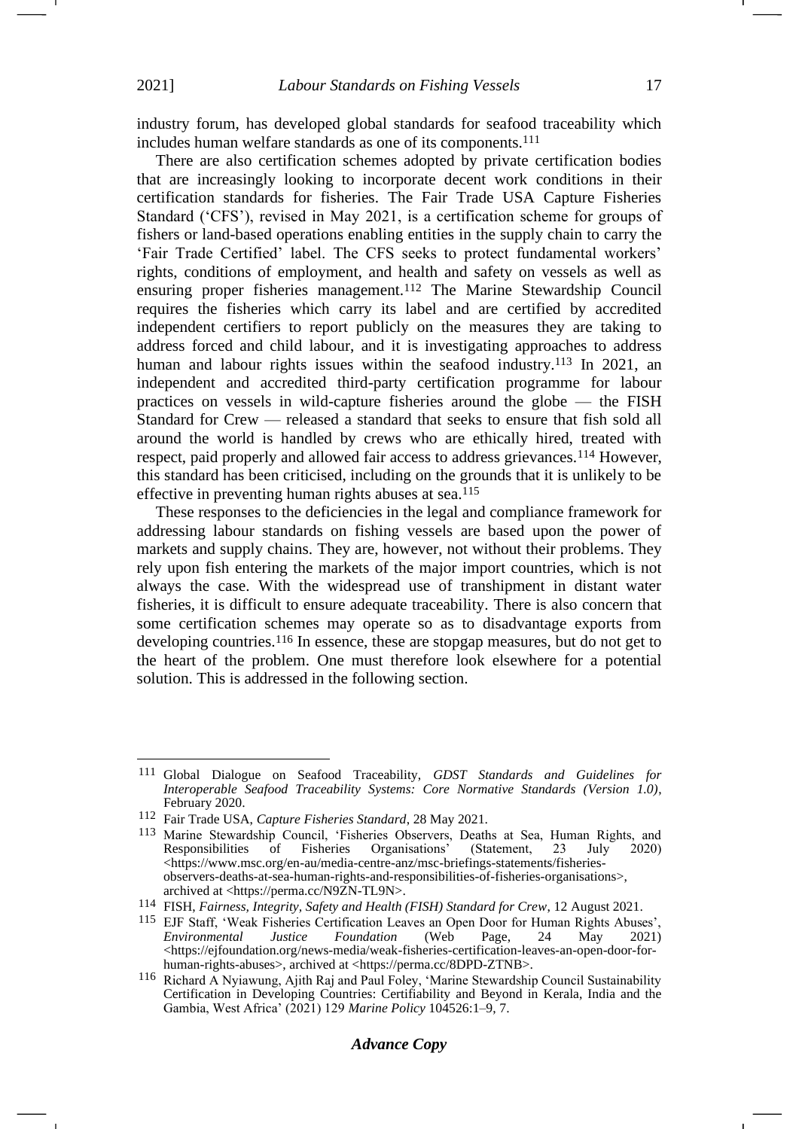industry forum, has developed global standards for seafood traceability which includes human welfare standards as one of its components.<sup>111</sup>

There are also certification schemes adopted by private certification bodies that are increasingly looking to incorporate decent work conditions in their certification standards for fisheries. The Fair Trade USA Capture Fisheries Standard ('CFS'), revised in May 2021, is a certification scheme for groups of fishers or land-based operations enabling entities in the supply chain to carry the 'Fair Trade Certified' label. The CFS seeks to protect fundamental workers' rights, conditions of employment, and health and safety on vessels as well as ensuring proper fisheries management.<sup>112</sup> The Marine Stewardship Council requires the fisheries which carry its label and are certified by accredited independent certifiers to report publicly on the measures they are taking to address forced and child labour, and it is investigating approaches to address human and labour rights issues within the seafood industry.<sup>113</sup> In 2021, an independent and accredited third-party certification programme for labour practices on vessels in wild-capture fisheries around the globe — the FISH Standard for Crew — released a standard that seeks to ensure that fish sold all around the world is handled by crews who are ethically hired, treated with respect, paid properly and allowed fair access to address grievances.<sup>114</sup> However, this standard has been criticised, including on the grounds that it is unlikely to be effective in preventing human rights abuses at sea.<sup>115</sup>

These responses to the deficiencies in the legal and compliance framework for addressing labour standards on fishing vessels are based upon the power of markets and supply chains. They are, however, not without their problems. They rely upon fish entering the markets of the major import countries, which is not always the case. With the widespread use of transhipment in distant water fisheries, it is difficult to ensure adequate traceability. There is also concern that some certification schemes may operate so as to disadvantage exports from developing countries.<sup>116</sup> In essence, these are stopgap measures, but do not get to the heart of the problem. One must therefore look elsewhere for a potential solution. This is addressed in the following section.

<sup>111</sup> Global Dialogue on Seafood Traceability, *GDST Standards and Guidelines for Interoperable Seafood Traceability Systems: Core Normative Standards (Version 1.0)*, February 2020.

<sup>112</sup> Fair Trade USA, *Capture Fisheries Standard*, 28 May 2021.

<sup>&</sup>lt;sup>113</sup> Marine Stewardship Council, 'Fisheries Observers, Deaths at Sea, Human Rights, and Responsibilities of Fisheries Organisations' (Statement, 23 July 2020) Responsibilities of Fisheries Organisations' (Statement, 23 July 2020) <https://www.msc.org/en-au/media-centre-anz/msc-briefings-statements/fisheriesobservers-deaths-at-sea-human-rights-and-responsibilities-of-fisheries-organisations>, archived at <https://perma.cc/N9ZN-TL9N>.

<sup>114</sup> FISH, *Fairness, Integrity, Safety and Health (FISH) Standard for Crew*, 12 August 2021.

<sup>115</sup> EJF Staff, 'Weak Fisheries Certification Leaves an Open Door for Human Rights Abuses', *Environmental Justice Foundation* (Web Page, 24 May 2021) <https://ejfoundation.org/news-media/weak-fisheries-certification-leaves-an-open-door-forhuman-rights-abuses>, archived at <https://perma.cc/8DPD-ZTNB>.

<sup>116</sup> Richard A Nyiawung, Ajith Raj and Paul Foley, 'Marine Stewardship Council Sustainability Certification in Developing Countries: Certifiability and Beyond in Kerala, India and the Gambia, West Africa' (2021) 129 *Marine Policy* 104526:1–9, 7.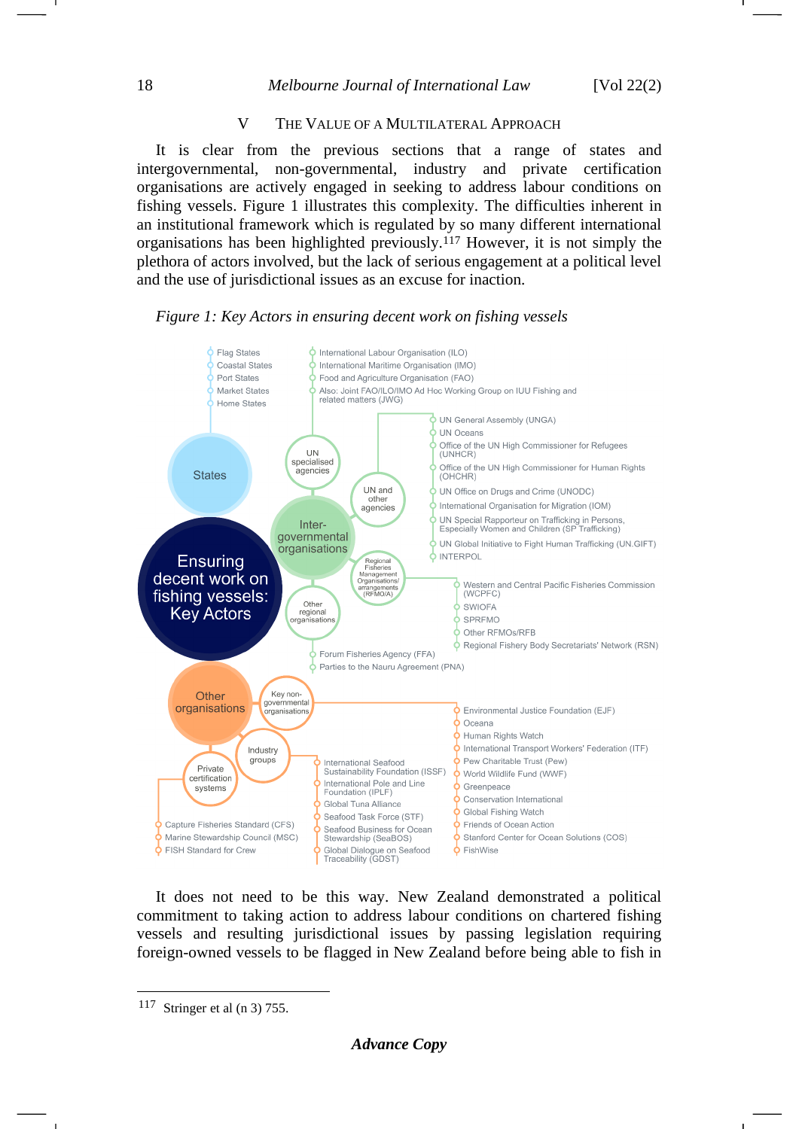## V THE VALUE OF A MULTILATERAL APPROACH

It is clear from the previous sections that a range of states and intergovernmental, non-governmental, industry and private certification organisations are actively engaged in seeking to address labour conditions on fishing vessels. Figure 1 illustrates this complexity. The difficulties inherent in an institutional framework which is regulated by so many different international organisations has been highlighted previously.<sup>117</sup> However, it is not simply the plethora of actors involved, but the lack of serious engagement at a political level and the use of jurisdictional issues as an excuse for inaction.

# *Figure 1: Key Actors in ensuring decent work on fishing vessels*



It does not need to be this way. New Zealand demonstrated a political commitment to taking action to address labour conditions on chartered fishing vessels and resulting jurisdictional issues by passing legislation requiring foreign-owned vessels to be flagged in New Zealand before being able to fish in

<sup>117</sup> Stringer et al (n [3\)](#page-1-1) 755.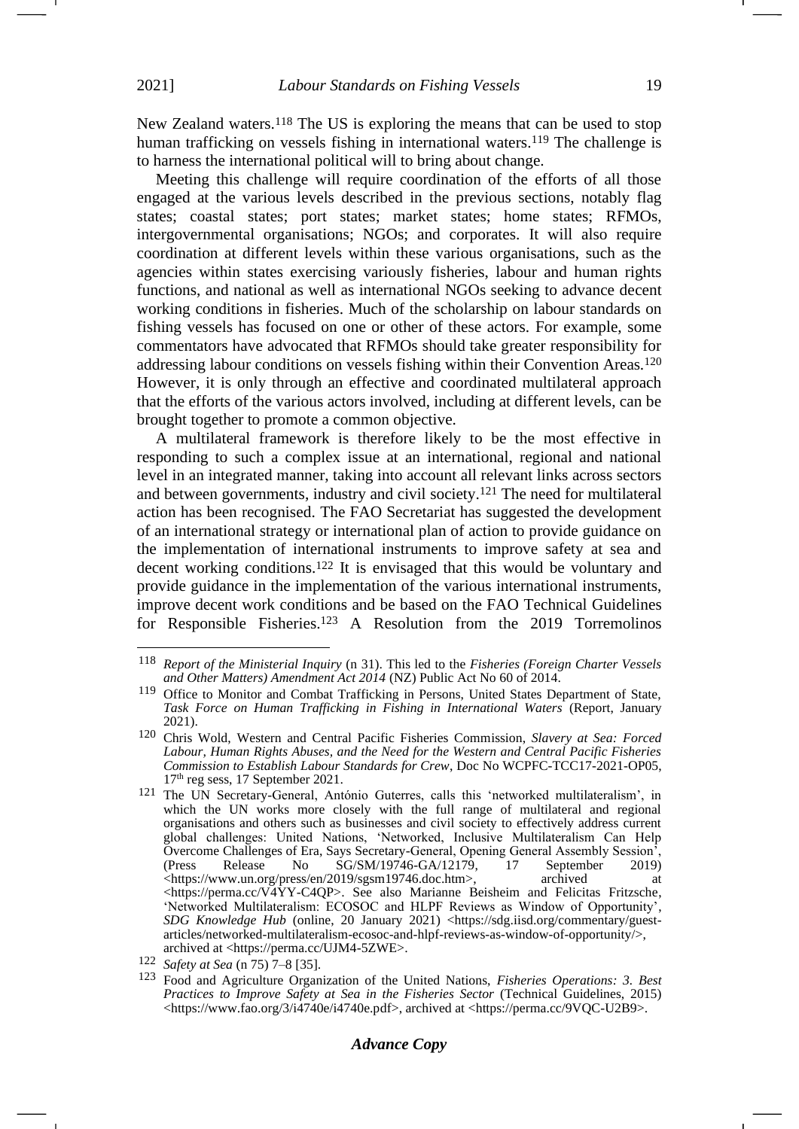New Zealand waters.<sup>118</sup> The US is exploring the means that can be used to stop human trafficking on vessels fishing in international waters.<sup>119</sup> The challenge is to harness the international political will to bring about change.

Meeting this challenge will require coordination of the efforts of all those engaged at the various levels described in the previous sections, notably flag states; coastal states; port states; market states; home states; RFMOs, intergovernmental organisations; NGOs; and corporates. It will also require coordination at different levels within these various organisations, such as the agencies within states exercising variously fisheries, labour and human rights functions, and national as well as international NGOs seeking to advance decent working conditions in fisheries. Much of the scholarship on labour standards on fishing vessels has focused on one or other of these actors. For example, some commentators have advocated that RFMOs should take greater responsibility for addressing labour conditions on vessels fishing within their Convention Areas.<sup>120</sup> However, it is only through an effective and coordinated multilateral approach that the efforts of the various actors involved, including at different levels, can be brought together to promote a common objective.

A multilateral framework is therefore likely to be the most effective in responding to such a complex issue at an international, regional and national level in an integrated manner, taking into account all relevant links across sectors and between governments, industry and civil society.<sup>121</sup> The need for multilateral action has been recognised. The FAO Secretariat has suggested the development of an international strategy or international plan of action to provide guidance on the implementation of international instruments to improve safety at sea and decent working conditions.<sup>122</sup> It is envisaged that this would be voluntary and provide guidance in the implementation of the various international instruments, improve decent work conditions and be based on the FAO Technical Guidelines for Responsible Fisheries.<sup>123</sup> A Resolution from the 2019 Torremolinos

<sup>118</sup> *Report of the Ministerial Inquiry* (n [31\)](#page-5-1). This led to the *Fisheries (Foreign Charter Vessels and Other Matters) Amendment Act 2014* (NZ) Public Act No 60 of 2014.

<sup>119</sup> Office to Monitor and Combat Trafficking in Persons, United States Department of State, *Task Force on Human Trafficking in Fishing in International Waters* (Report, January 2021).

<sup>120</sup> Chris Wold, Western and Central Pacific Fisheries Commission, *Slavery at Sea: Forced Labour, Human Rights Abuses, and the Need for the Western and Central Pacific Fisheries Commission to Establish Labour Standards for Crew*, Doc No WCPFC-TCC17-2021-OP05, 17th reg sess, 17 September 2021.

<sup>121</sup> The UN Secretary-General, António Guterres, calls this 'networked multilateralism', in which the UN works more closely with the full range of multilateral and regional organisations and others such as businesses and civil society to effectively address current global challenges: United Nations, 'Networked, Inclusive Multilateralism Can Help Overcome Challenges of Era, Says Secretary-General, Opening General Assembly Session<sup>5</sup>,<br>(Press Release No SG/SM/19746-GA/12179, 17 September 2019) (Press Release No SG/SM/19746-GA/12179, 17 September 2019) <https://www.un.org/press/en/2019/sgsm19746.doc.htm>, archived at  $\langle \text{https://permacc/V4YY-C4OP}\rangle$ . See also Marianne Beisheim and Felicitas Fritzsche, 'Networked Multilateralism: ECOSOC and HLPF Reviews as Window of Opportunity', *SDG Knowledge Hub* (online, 20 January 2021) <https://sdg.iisd.org/commentary/guestarticles/networked-multilateralism-ecosoc-and-hlpf-reviews-as-window-of-opportunity/>, archived at <https://perma.cc/UJM4-5ZWE>.

<sup>122</sup> *Safety at Sea* (n [75\)](#page-12-1) 7–8 [35].

<sup>123</sup> Food and Agriculture Organization of the United Nations, *Fisheries Operations: 3. Best Practices to Improve Safety at Sea in the Fisheries Sector* (Technical Guidelines, 2015) <https://www.fao.org/3/i4740e/i4740e.pdf>, archived at <https://perma.cc/9VQC-U2B9>.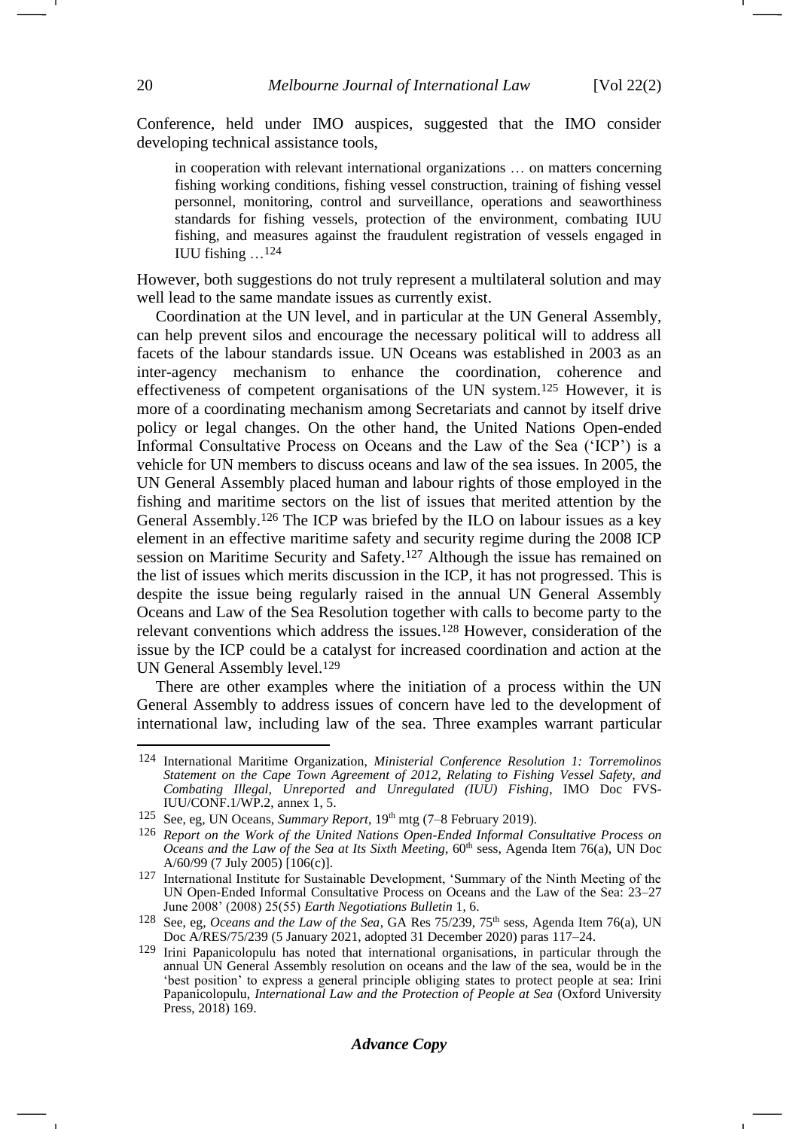Conference, held under IMO auspices, suggested that the IMO consider developing technical assistance tools,

in cooperation with relevant international organizations … on matters concerning fishing working conditions, fishing vessel construction, training of fishing vessel personnel, monitoring, control and surveillance, operations and seaworthiness standards for fishing vessels, protection of the environment, combating IUU fishing, and measures against the fraudulent registration of vessels engaged in IUU fishing …124

However, both suggestions do not truly represent a multilateral solution and may well lead to the same mandate issues as currently exist.

Coordination at the UN level, and in particular at the UN General Assembly, can help prevent silos and encourage the necessary political will to address all facets of the labour standards issue. UN Oceans was established in 2003 as an inter-agency mechanism to enhance the coordination, coherence and effectiveness of competent organisations of the UN system.<sup>125</sup> However, it is more of a coordinating mechanism among Secretariats and cannot by itself drive policy or legal changes. On the other hand, the United Nations Open-ended Informal Consultative Process on Oceans and the Law of the Sea ('ICP') is a vehicle for UN members to discuss oceans and law of the sea issues. In 2005, the UN General Assembly placed human and labour rights of those employed in the fishing and maritime sectors on the list of issues that merited attention by the General Assembly.<sup>126</sup> The ICP was briefed by the ILO on labour issues as a key element in an effective maritime safety and security regime during the 2008 ICP session on Maritime Security and Safety.<sup>127</sup> Although the issue has remained on the list of issues which merits discussion in the ICP, it has not progressed. This is despite the issue being regularly raised in the annual UN General Assembly Oceans and Law of the Sea Resolution together with calls to become party to the relevant conventions which address the issues.<sup>128</sup> However, consideration of the issue by the ICP could be a catalyst for increased coordination and action at the UN General Assembly level.<sup>129</sup>

<span id="page-19-0"></span>There are other examples where the initiation of a process within the UN General Assembly to address issues of concern have led to the development of international law, including law of the sea. Three examples warrant particular

<sup>124</sup> International Maritime Organization, *Ministerial Conference Resolution 1: Torremolinos Statement on the Cape Town Agreement of 2012, Relating to Fishing Vessel Safety, and Combating Illegal, Unreported and Unregulated (IUU) Fishing*, IMO Doc FVS-IUU/CONF.1/WP.2, annex 1, 5.

<sup>125</sup> See, eg, UN Oceans, *Summary Report*, 19<sup>th</sup> mtg (7–8 February 2019).

<sup>126</sup> *Report on the Work of the United Nations Open-Ended Informal Consultative Process on Oceans and the Law of the Sea at Its Sixth Meeting*, 60<sup>th</sup> sess, Agenda Item 76(a), UN Doc A/60/99 (7 July 2005) [106(c)].

<sup>127</sup> International Institute for Sustainable Development, 'Summary of the Ninth Meeting of the UN Open-Ended Informal Consultative Process on Oceans and the Law of the Sea: 23–27 June 2008' (2008) 25(55) *Earth Negotiations Bulletin* 1, 6.

<sup>&</sup>lt;sup>128</sup> See, eg, *Oceans and the Law of the Sea*, GA Res 75/239, 75<sup>th</sup> sess, Agenda Item 76(a), UN Doc A/RES/75/239 (5 January 2021, adopted 31 December 2020) paras 117–24.

<sup>129</sup> Irini Papanicolopulu has noted that international organisations, in particular through the annual UN General Assembly resolution on oceans and the law of the sea, would be in the 'best position' to express a general principle obliging states to protect people at sea: Irini Papanicolopulu, *International Law and the Protection of People at Sea* (Oxford University Press, 2018) 169.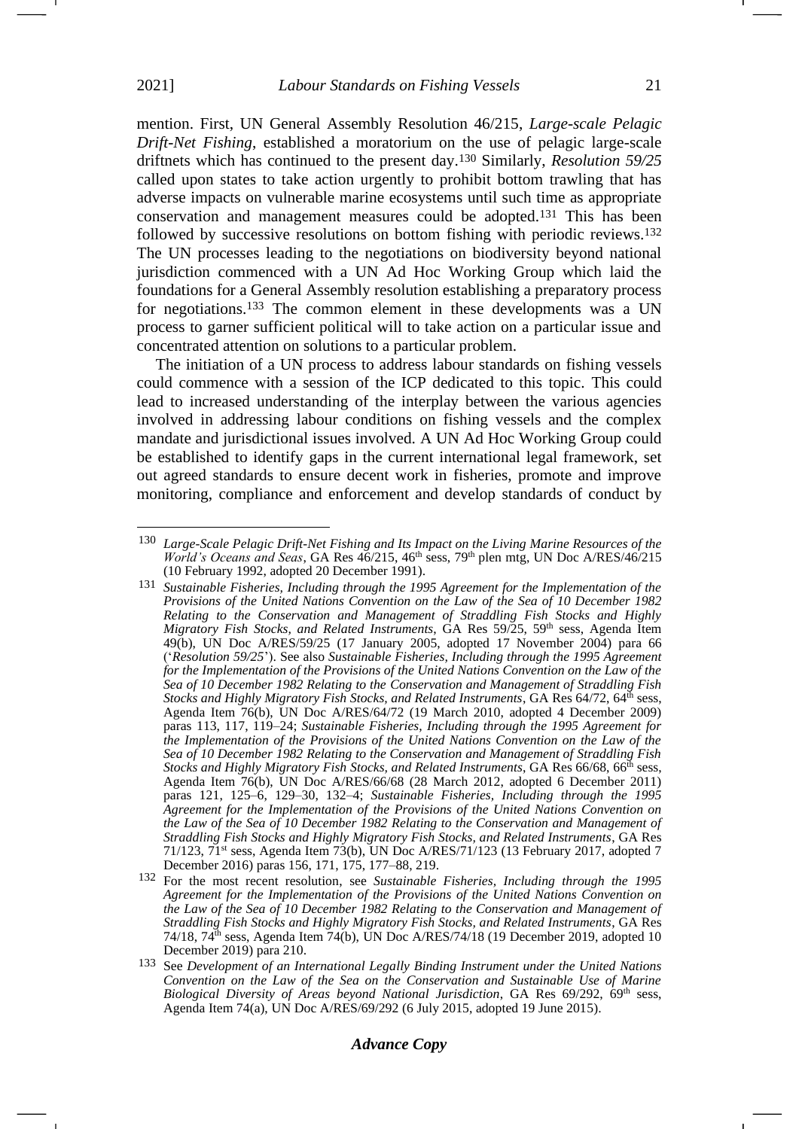mention. First, UN General Assembly Resolution 46/215, *Large-scale Pelagic Drift-Net Fishing*, established a moratorium on the use of pelagic large-scale driftnets which has continued to the present day.<sup>130</sup> Similarly, *Resolution 59/25* called upon states to take action urgently to prohibit bottom trawling that has adverse impacts on vulnerable marine ecosystems until such time as appropriate conservation and management measures could be adopted.<sup>131</sup> This has been followed by successive resolutions on bottom fishing with periodic reviews.<sup>132</sup> The UN processes leading to the negotiations on biodiversity beyond national jurisdiction commenced with a UN Ad Hoc Working Group which laid the foundations for a General Assembly resolution establishing a preparatory process for negotiations.<sup>133</sup> The common element in these developments was a UN process to garner sufficient political will to take action on a particular issue and concentrated attention on solutions to a particular problem.

The initiation of a UN process to address labour standards on fishing vessels could commence with a session of the ICP dedicated to this topic. This could lead to increased understanding of the interplay between the various agencies involved in addressing labour conditions on fishing vessels and the complex mandate and jurisdictional issues involved. A UN Ad Hoc Working Group could be established to identify gaps in the current international legal framework, set out agreed standards to ensure decent work in fisheries, promote and improve monitoring, compliance and enforcement and develop standards of conduct by

<sup>130</sup> *Large-Scale Pelagic Drift-Net Fishing and Its Impact on the Living Marine Resources of the World's Oceans and Seas*, GA Res 46/215, 46<sup>th</sup> sess, 79<sup>th</sup> plen mtg, UN Doc A/RES/46/215 (10 February 1992, adopted 20 December 1991).

<sup>131</sup> *Sustainable Fisheries, Including through the 1995 Agreement for the Implementation of the Provisions of the United Nations Convention on the Law of the Sea of 10 December 1982 Relating to the Conservation and Management of Straddling Fish Stocks and Highly Migratory Fish Stocks, and Related Instruments, GA Res 59/25, 59<sup>th</sup> sess, Agenda Item* 49(b), UN Doc A/RES/59/25 (17 January 2005, adopted 17 November 2004) para 66 ('*Resolution 59/25*'). See also *Sustainable Fisheries, Including through the 1995 Agreement for the Implementation of the Provisions of the United Nations Convention on the Law of the Sea of 10 December 1982 Relating to the Conservation and Management of Straddling Fish Stocks and Highly Migratory Fish Stocks, and Related Instruments*, GA Res 64/72, 64<sup>th</sup> sess, Agenda Item 76(b), UN Doc A/RES/64/72 (19 March 2010, adopted 4 December 2009) paras 113, 117, 119–24; *Sustainable Fisheries, Including through the 1995 Agreement for the Implementation of the Provisions of the United Nations Convention on the Law of the Sea of 10 December 1982 Relating to the Conservation and Management of Straddling Fish Stocks and Highly Migratory Fish Stocks, and Related Instruments, GA Res 66/68, 66<sup>th</sup> sess,* Agenda Item 76(b), UN Doc A/RES/66/68 (28 March 2012, adopted 6 December 2011) paras 121, 125–6, 129–30, 132–4; *Sustainable Fisheries, Including through the 1995 Agreement for the Implementation of the Provisions of the United Nations Convention on the Law of the Sea of 10 December 1982 Relating to the Conservation and Management of Straddling Fish Stocks and Highly Migratory Fish Stocks, and Related Instruments*, GA Res 71/123, 71st sess, Agenda Item 73(b), UN Doc A/RES/71/123 (13 February 2017, adopted 7 December 2016) paras 156, 171, 175, 177–88, 219.

<sup>132</sup> For the most recent resolution, see *Sustainable Fisheries, Including through the 1995 Agreement for the Implementation of the Provisions of the United Nations Convention on the Law of the Sea of 10 December 1982 Relating to the Conservation and Management of Straddling Fish Stocks and Highly Migratory Fish Stocks, and Related Instruments*, GA Res  $74/18$ ,  $74<sup>th</sup>$  sess, Agenda Item  $74(b)$ , UN Doc A/RES/74/18 (19 December 2019, adopted 10 December 2019) para 210.

<sup>133</sup> See *Development of an International Legally Binding Instrument under the United Nations Convention on the Law of the Sea on the Conservation and Sustainable Use of Marine*  Biological Diversity of Areas beyond National Jurisdiction, GA Res 69/292, 69<sup>th</sup> sess, Agenda Item 74(a), UN Doc A/RES/69/292 (6 July 2015, adopted 19 June 2015).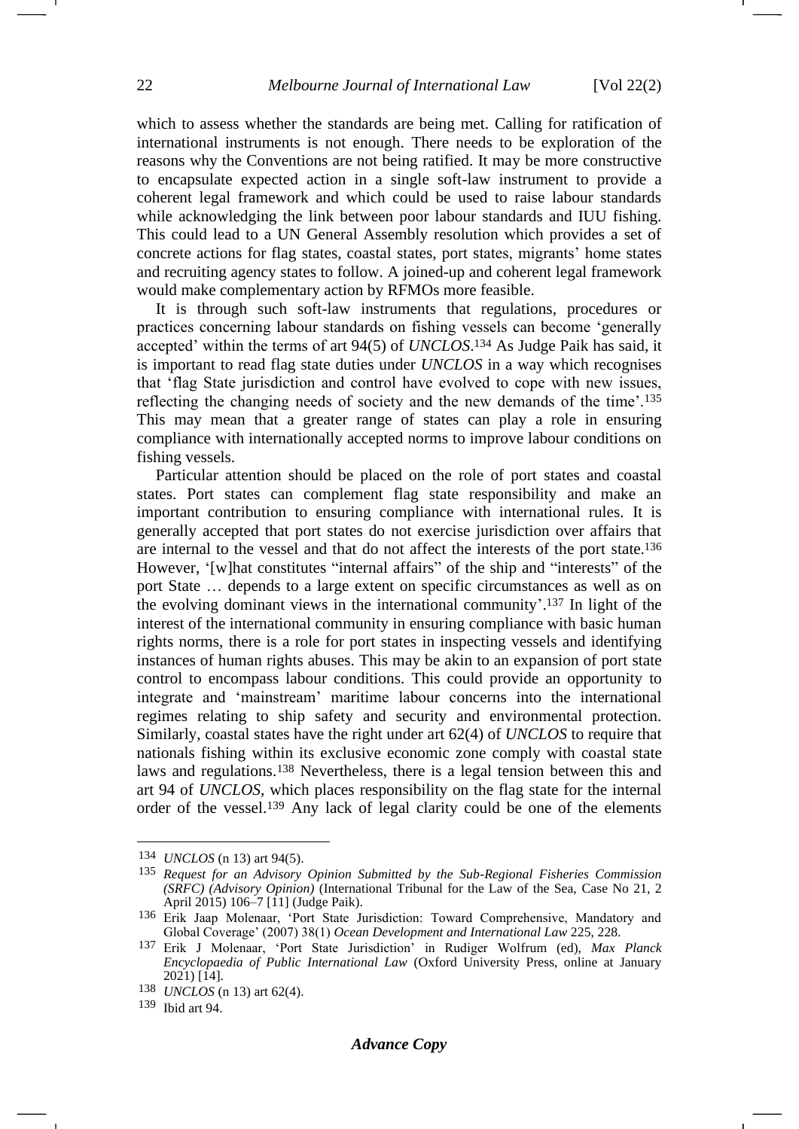which to assess whether the standards are being met. Calling for ratification of international instruments is not enough. There needs to be exploration of the reasons why the Conventions are not being ratified. It may be more constructive to encapsulate expected action in a single soft-law instrument to provide a coherent legal framework and which could be used to raise labour standards while acknowledging the link between poor labour standards and IUU fishing. This could lead to a UN General Assembly resolution which provides a set of concrete actions for flag states, coastal states, port states, migrants' home states and recruiting agency states to follow. A joined-up and coherent legal framework would make complementary action by RFMOs more feasible.

It is through such soft-law instruments that regulations, procedures or practices concerning labour standards on fishing vessels can become 'generally accepted' within the terms of art 94(5) of *UNCLOS*. <sup>134</sup> As Judge Paik has said, it is important to read flag state duties under *UNCLOS* in a way which recognises that 'flag State jurisdiction and control have evolved to cope with new issues, reflecting the changing needs of society and the new demands of the time'.<sup>135</sup> This may mean that a greater range of states can play a role in ensuring compliance with internationally accepted norms to improve labour conditions on fishing vessels.

Particular attention should be placed on the role of port states and coastal states. Port states can complement flag state responsibility and make an important contribution to ensuring compliance with international rules. It is generally accepted that port states do not exercise jurisdiction over affairs that are internal to the vessel and that do not affect the interests of the port state.<sup>136</sup> However, '[w]hat constitutes "internal affairs" of the ship and "interests" of the port State … depends to a large extent on specific circumstances as well as on the evolving dominant views in the international community'. <sup>137</sup> In light of the interest of the international community in ensuring compliance with basic human rights norms, there is a role for port states in inspecting vessels and identifying instances of human rights abuses. This may be akin to an expansion of port state control to encompass labour conditions. This could provide an opportunity to integrate and 'mainstream' maritime labour concerns into the international regimes relating to ship safety and security and environmental protection. Similarly, coastal states have the right under art 62(4) of *UNCLOS* to require that nationals fishing within its exclusive economic zone comply with coastal state laws and regulations.<sup>138</sup> Nevertheless, there is a legal tension between this and art 94 of *UNCLOS*, which places responsibility on the flag state for the internal order of the vessel.<sup>139</sup> Any lack of legal clarity could be one of the elements

<sup>134</sup> *UNCLOS* (n [13\)](#page-3-1) art 94(5).

<sup>135</sup> *Request for an Advisory Opinion Submitted by the Sub-Regional Fisheries Commission (SRFC) (Advisory Opinion)* (International Tribunal for the Law of the Sea, Case No 21, 2 April 2015) 106–7 [11] (Judge Paik).

<sup>136</sup> Erik Jaap Molenaar, 'Port State Jurisdiction: Toward Comprehensive, Mandatory and Global Coverage' (2007) 38(1) *Ocean Development and International Law* 225, 228.

<sup>137</sup> Erik J Molenaar, 'Port State Jurisdiction' in Rudiger Wolfrum (ed), *Max Planck Encyclopaedia of Public International Law* (Oxford University Press, online at January 2021) [14].

<sup>138</sup> *UNCLOS* (n [13\)](#page-3-1) art 62(4).

<sup>139</sup> Ibid art 94.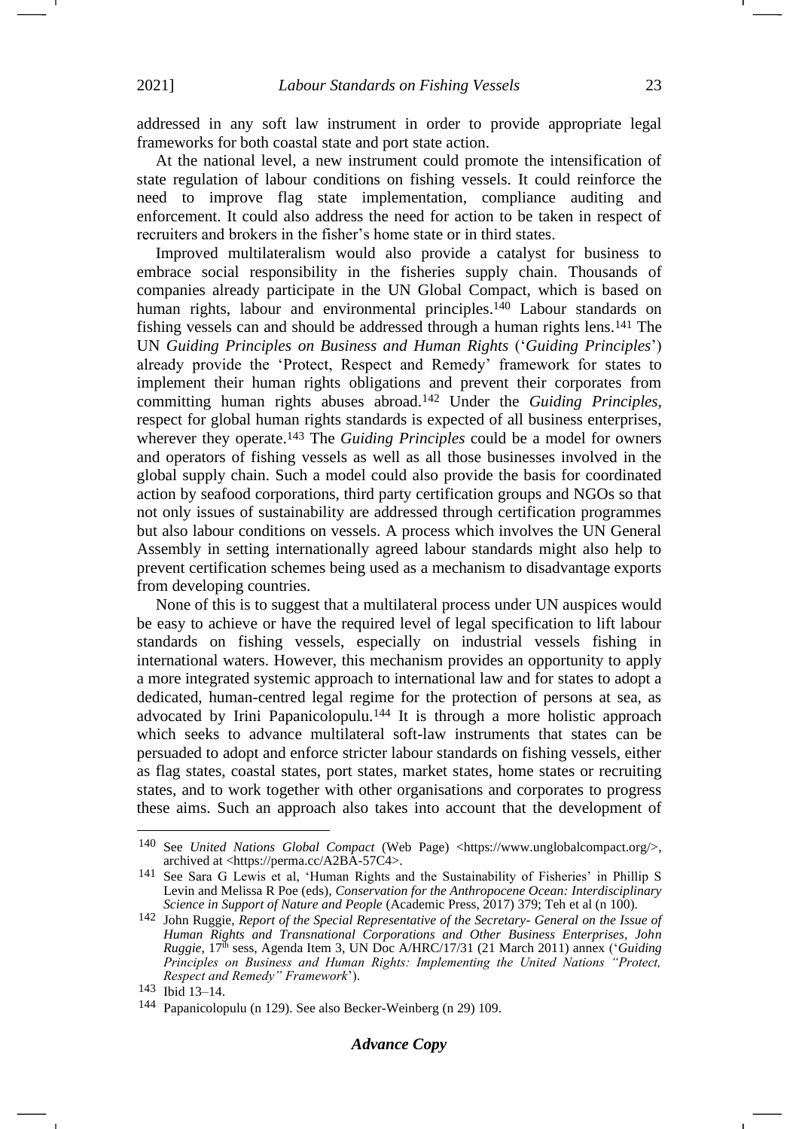addressed in any soft law instrument in order to provide appropriate legal frameworks for both coastal state and port state action.

At the national level, a new instrument could promote the intensification of state regulation of labour conditions on fishing vessels. It could reinforce the need to improve flag state implementation, compliance auditing and enforcement. It could also address the need for action to be taken in respect of recruiters and brokers in the fisher's home state or in third states.

Improved multilateralism would also provide a catalyst for business to embrace social responsibility in the fisheries supply chain. Thousands of companies already participate in the UN Global Compact, which is based on human rights, labour and environmental principles.<sup>140</sup> Labour standards on fishing vessels can and should be addressed through a human rights lens.<sup>141</sup> The UN *Guiding Principles on Business and Human Rights* ('*Guiding Principles*') already provide the 'Protect, Respect and Remedy' framework for states to implement their human rights obligations and prevent their corporates from committing human rights abuses abroad.<sup>142</sup> Under the *Guiding Principles*, respect for global human rights standards is expected of all business enterprises, wherever they operate.<sup>143</sup> The *Guiding Principles* could be a model for owners and operators of fishing vessels as well as all those businesses involved in the global supply chain. Such a model could also provide the basis for coordinated action by seafood corporations, third party certification groups and NGOs so that not only issues of sustainability are addressed through certification programmes but also labour conditions on vessels. A process which involves the UN General Assembly in setting internationally agreed labour standards might also help to prevent certification schemes being used as a mechanism to disadvantage exports from developing countries.

None of this is to suggest that a multilateral process under UN auspices would be easy to achieve or have the required level of legal specification to lift labour standards on fishing vessels, especially on industrial vessels fishing in international waters. However, this mechanism provides an opportunity to apply a more integrated systemic approach to international law and for states to adopt a dedicated, human-centred legal regime for the protection of persons at sea, as advocated by Irini Papanicolopulu.<sup>144</sup> It is through a more holistic approach which seeks to advance multilateral soft-law instruments that states can be persuaded to adopt and enforce stricter labour standards on fishing vessels, either as flag states, coastal states, port states, market states, home states or recruiting states, and to work together with other organisations and corporates to progress these aims. Such an approach also takes into account that the development of

<sup>140</sup> See *United Nations Global Compact* (Web Page) <https://www.unglobalcompact.org/>, archived at <https://perma.cc/A2BA-57C4>.

<sup>141</sup> See Sara G Lewis et al, 'Human Rights and the Sustainability of Fisheries' in Phillip S Levin and Melissa R Poe (eds), *Conservation for the Anthropocene Ocean: Interdisciplinary Science in Support of Nature and People* (Academic Press, 2017) 379; Teh et al (n [100\)](#page-15-0).

<sup>142</sup> John Ruggie, *Report of the Special Representative of the Secretary- General on the Issue of Human Rights and Transnational Corporations and Other Business Enterprises, John Ruggie*, 17<sup>th</sup> sess, Agenda Item 3, UN Doc A/HRC/17/31 (21 March 2011) annex ('*Guiding Principles on Business and Human Rights: Implementing the United Nations "Protect, Respect and Remedy" Framework*').

<sup>143</sup> Ibid 13–14.

<sup>144</sup> Papanicolopulu (n [129\)](#page-19-0). See also Becker-Weinberg (n [29\)](#page-5-2) 109.